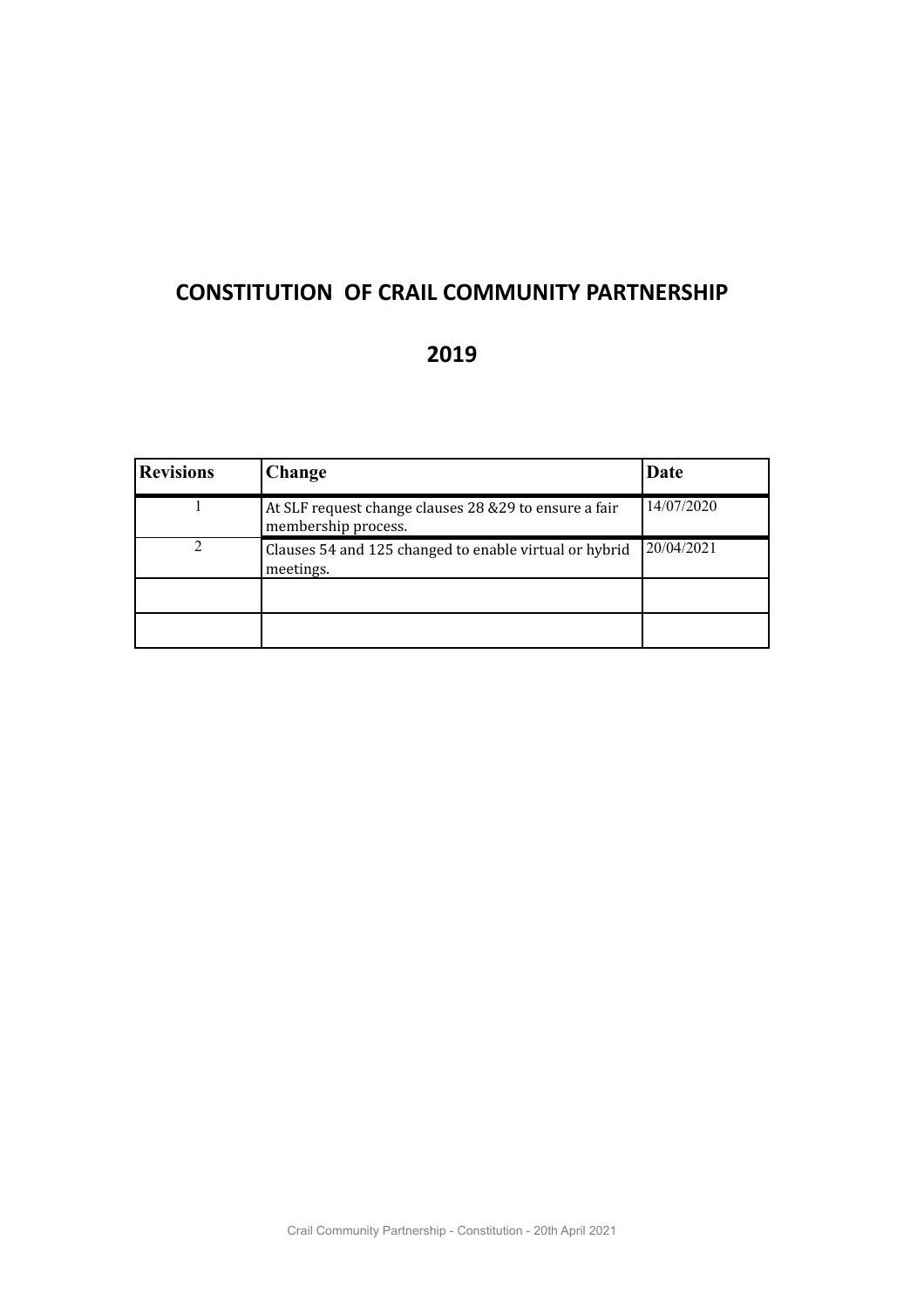# **CONSTITUTION OF CRAIL COMMUNITY PARTNERSHIP**

# **2019**

| <b>Revisions</b> | Change                                                                        | Date       |
|------------------|-------------------------------------------------------------------------------|------------|
|                  | At SLF request change clauses 28 & 29 to ensure a fair<br>membership process. | 14/07/2020 |
|                  | Clauses 54 and 125 changed to enable virtual or hybrid<br>meetings.           | 20/04/2021 |
|                  |                                                                               |            |
|                  |                                                                               |            |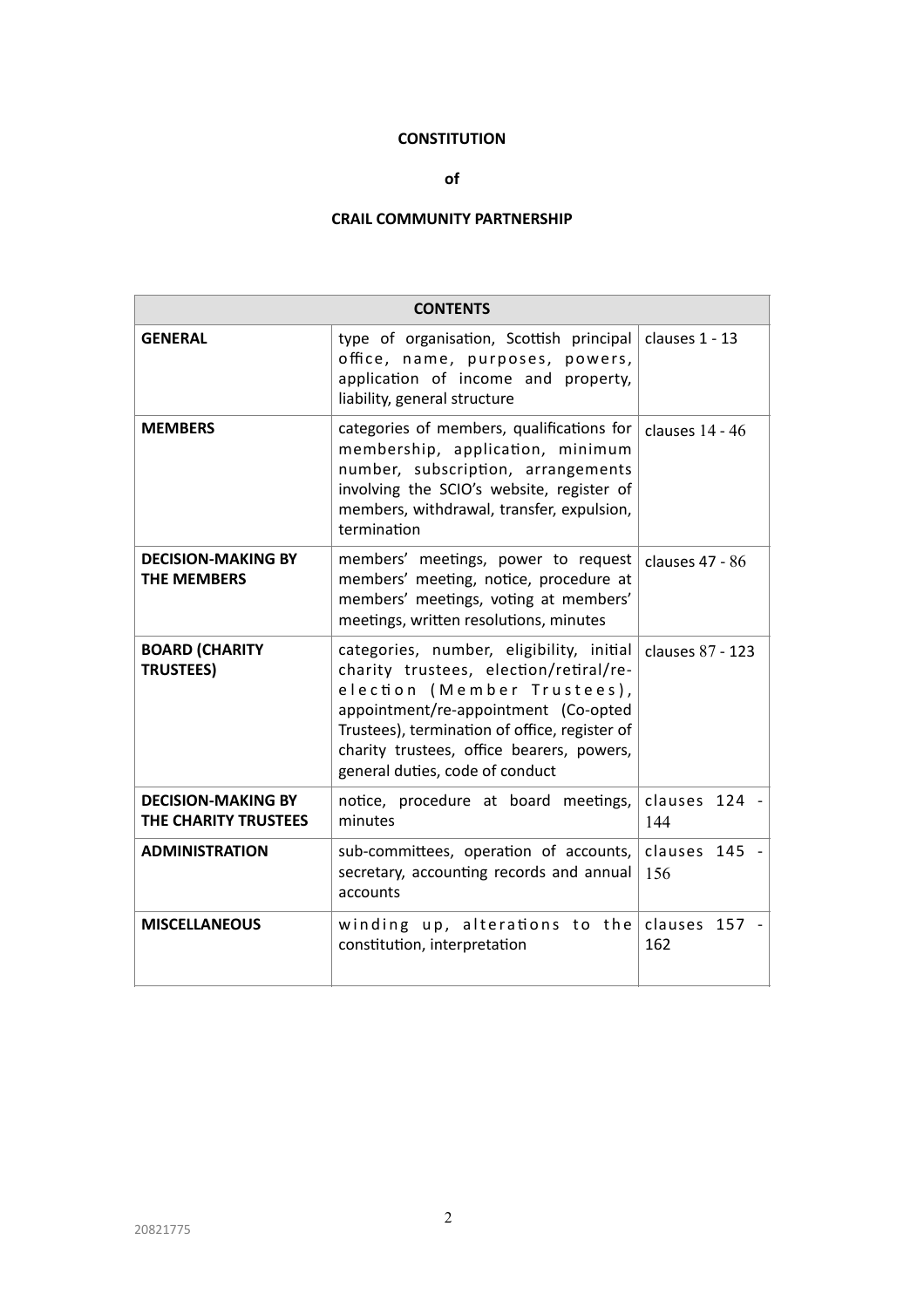# **CONSTITUTION**

#### **of**

# **CRAIL COMMUNITY PARTNERSHIP**

| <b>CONTENTS</b>                                   |                                                                                                                                                                                                                                                                                            |                      |  |
|---------------------------------------------------|--------------------------------------------------------------------------------------------------------------------------------------------------------------------------------------------------------------------------------------------------------------------------------------------|----------------------|--|
| <b>GENERAL</b>                                    | type of organisation, Scottish principal<br>office, name, purposes, powers,<br>application of income and property,<br>liability, general structure                                                                                                                                         | clauses 1 - 13       |  |
| <b>MEMBERS</b>                                    | categories of members, qualifications for<br>membership, application, minimum<br>number, subscription, arrangements<br>involving the SCIO's website, register of<br>members, withdrawal, transfer, expulsion,<br>termination                                                               | clauses $14 - 46$    |  |
| <b>DECISION-MAKING BY</b><br><b>THE MEMBERS</b>   | members' meetings, power to request<br>members' meeting, notice, procedure at<br>members' meetings, voting at members'<br>meetings, written resolutions, minutes                                                                                                                           | clauses 47 - 86      |  |
| <b>BOARD (CHARITY</b><br><b>TRUSTEES)</b>         | categories, number, eligibility, initial<br>charity trustees, election/retiral/re-<br>election (Member Trustees),<br>appointment/re-appointment (Co-opted<br>Trustees), termination of office, register of<br>charity trustees, office bearers, powers,<br>general duties, code of conduct | clauses 87 - 123     |  |
| <b>DECISION-MAKING BY</b><br>THE CHARITY TRUSTEES | notice, procedure at board meetings,<br>minutes                                                                                                                                                                                                                                            | clauses 124 -<br>144 |  |
| <b>ADMINISTRATION</b>                             | sub-committees, operation of accounts,<br>secretary, accounting records and annual<br>accounts                                                                                                                                                                                             | clauses 145 -<br>156 |  |
| <b>MISCELLANEOUS</b>                              | winding up, alterations to the<br>constitution, interpretation                                                                                                                                                                                                                             | clauses 157<br>162   |  |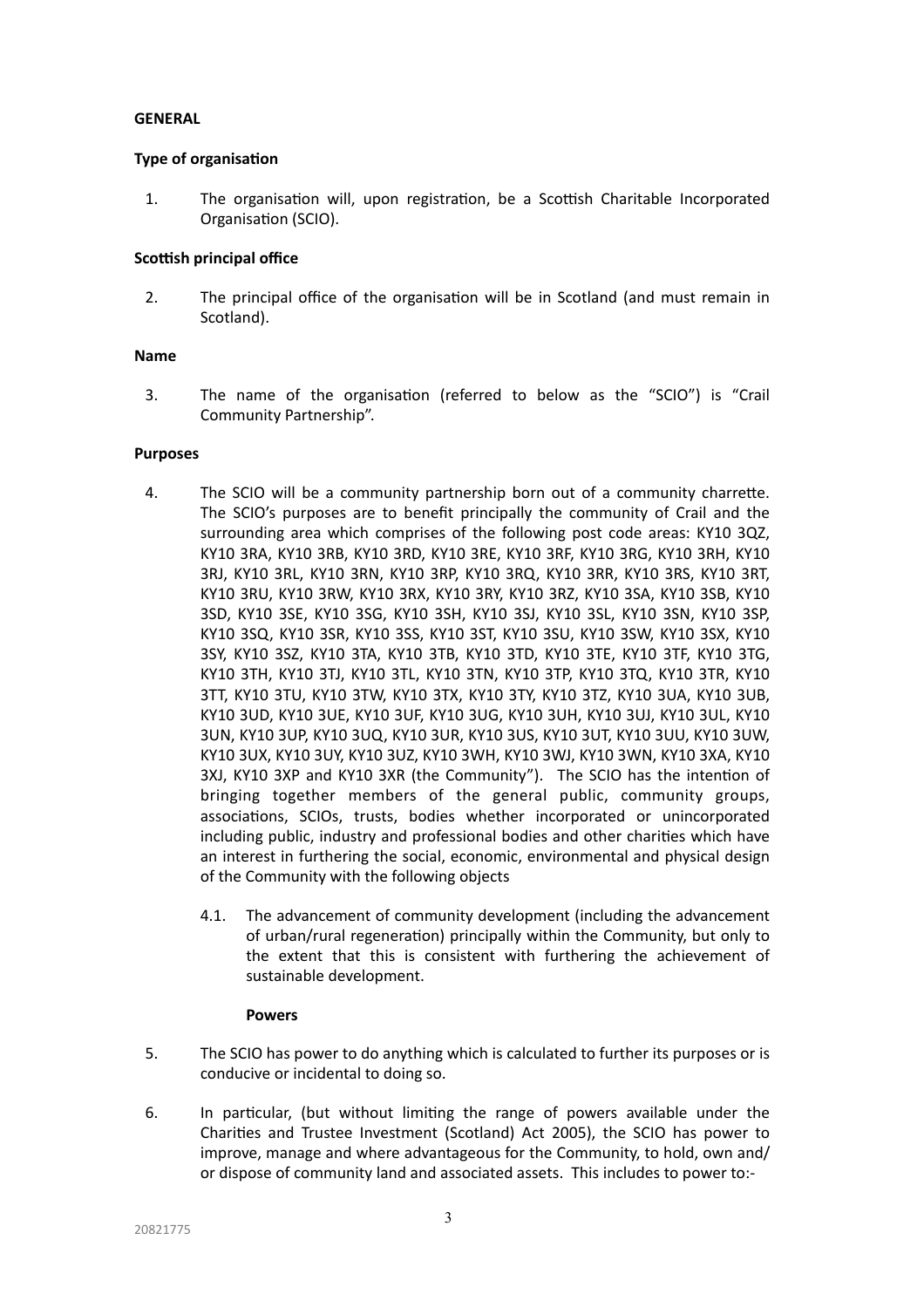# **GENERAL**

#### **Type of organisation**

1. The organisation will, upon registration, be a Scottish Charitable Incorporated Organisation (SCIO).

# **Scottish principal office**

2. The principal office of the organisation will be in Scotland (and must remain in Scotland).

#### **Name**

3. The name of the organisation (referred to below as the "SCIO") is "Crail Community Partnership".

#### **Purposes**

- <span id="page-2-0"></span>4. The SCIO will be a community partnership born out of a community charrette. The SCIO's purposes are to benefit principally the community of Crail and the surrounding area which comprises of the following post code areas: KY10 3QZ, KY10 3RA, KY10 3RB, KY10 3RD, KY10 3RE, KY10 3RF, KY10 3RG, KY10 3RH, KY10 3RJ, KY10 3RL, KY10 3RN, KY10 3RP, KY10 3RQ, KY10 3RR, KY10 3RS, KY10 3RT, KY10 3RU, KY10 3RW, KY10 3RX, KY10 3RY, KY10 3RZ, KY10 3SA, KY10 3SB, KY10 3SD, KY10 3SE, KY10 3SG, KY10 3SH, KY10 3SJ, KY10 3SL, KY10 3SN, KY10 3SP, KY10 3SQ, KY10 3SR, KY10 3SS, KY10 3ST, KY10 3SU, KY10 3SW, KY10 3SX, KY10 3SY, KY10 3SZ, KY10 3TA, KY10 3TB, KY10 3TD, KY10 3TE, KY10 3TF, KY10 3TG, KY10 3TH, KY10 3TJ, KY10 3TL, KY10 3TN, KY10 3TP, KY10 3TQ, KY10 3TR, KY10 3TT, KY10 3TU, KY10 3TW, KY10 3TX, KY10 3TY, KY10 3TZ, KY10 3UA, KY10 3UB, KY10 3UD, KY10 3UE, KY10 3UF, KY10 3UG, KY10 3UH, KY10 3UJ, KY10 3UL, KY10 3UN, KY10 3UP, KY10 3UQ, KY10 3UR, KY10 3US, KY10 3UT, KY10 3UU, KY10 3UW, KY10 3UX, KY10 3UY, KY10 3UZ, KY10 3WH, KY10 3WJ, KY10 3WN, KY10 3XA, KY10 3XJ, KY10 3XP and KY10 3XR (the Community"). The SCIO has the intention of bringing together members of the general public, community groups, associations, SCIOs, trusts, bodies whether incorporated or unincorporated including public, industry and professional bodies and other charities which have an interest in furthering the social, economic, environmental and physical design of the Community with the following objects
	- 4.1. The advancement of community development (including the advancement of urban/rural regeneration) principally within the Community, but only to the extent that this is consistent with furthering the achievement of sustainable development.

#### **Powers**

- 5. The SCIO has power to do anything which is calculated to further its purposes or is conducive or incidental to doing so.
- 6. In particular, (but without limiting the range of powers available under the Charities and Trustee Investment (Scotland) Act 2005), the SCIO has power to improve, manage and where advantageous for the Community, to hold, own and/ or dispose of community land and associated assets. This includes to power to:-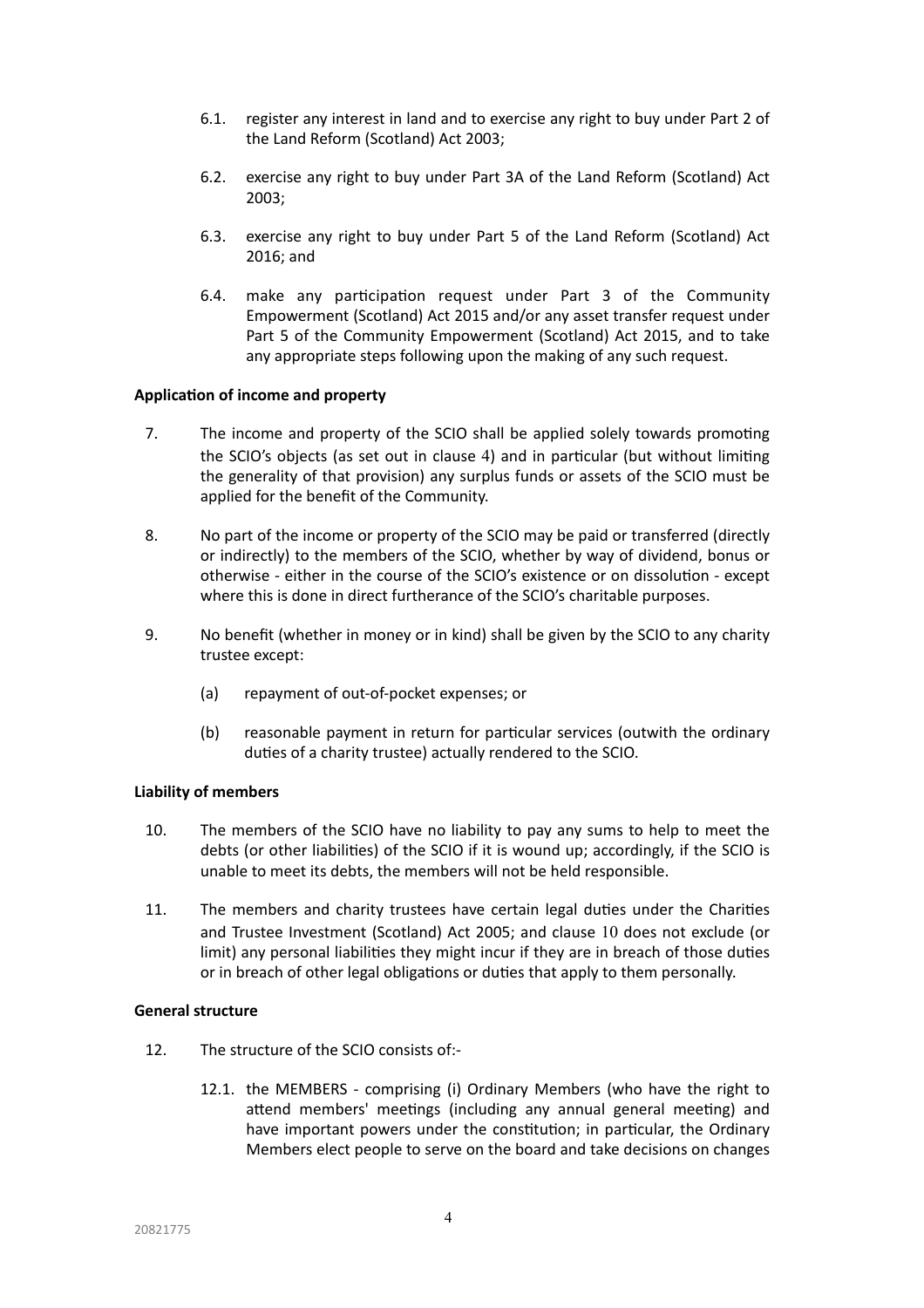- 6.1. register any interest in land and to exercise any right to buy under Part 2 of the Land Reform (Scotland) Act 2003;
- 6.2. exercise any right to buy under Part 3A of the Land Reform (Scotland) Act 2003;
- 6.3. exercise any right to buy under Part 5 of the Land Reform (Scotland) Act 2016; and
- 6.4. make any participation request under Part 3 of the Community Empowerment (Scotland) Act 2015 and/or any asset transfer request under Part 5 of the Community Empowerment (Scotland) Act 2015, and to take any appropriate steps following upon the making of any such request.

# **Application of income and property**

- 7. The income and property of the SCIO shall be applied solely towards promoting the SCIO's objects (as set out in clause [4](#page-2-0)) and in particular (but without limiting the generality of that provision) any surplus funds or assets of the SCIO must be applied for the benefit of the Community.
- 8. No part of the income or property of the SCIO may be paid or transferred (directly or indirectly) to the members of the SCIO, whether by way of dividend, bonus or otherwise - either in the course of the SCIO's existence or on dissolution - except where this is done in direct furtherance of the SCIO's charitable purposes.
- 9. No benefit (whether in money or in kind) shall be given by the SCIO to any charity trustee except:
	- (a) repayment of out-of-pocket expenses; or
	- (b) reasonable payment in return for particular services (outwith the ordinary duties of a charity trustee) actually rendered to the SCIO.

#### **Liability of members**

- <span id="page-3-0"></span>10. The members of the SCIO have no liability to pay any sums to help to meet the debts (or other liabilities) of the SCIO if it is wound up; accordingly, if the SCIO is unable to meet its debts, the members will not be held responsible.
- 11. The members and charity trustees have certain legal duties under the Charities and Trustee Investment (Scotland) Act 2005; and clause [10](#page-3-0) does not exclude (or limit) any personal liabilities they might incur if they are in breach of those duties or in breach of other legal obligations or duties that apply to them personally.

#### **General structure**

- 12. The structure of the SCIO consists of:-
	- 12.1. the MEMBERS comprising (i) Ordinary Members (who have the right to attend members' meetings (including any annual general meeting) and have important powers under the constitution; in particular, the Ordinary Members elect people to serve on the board and take decisions on changes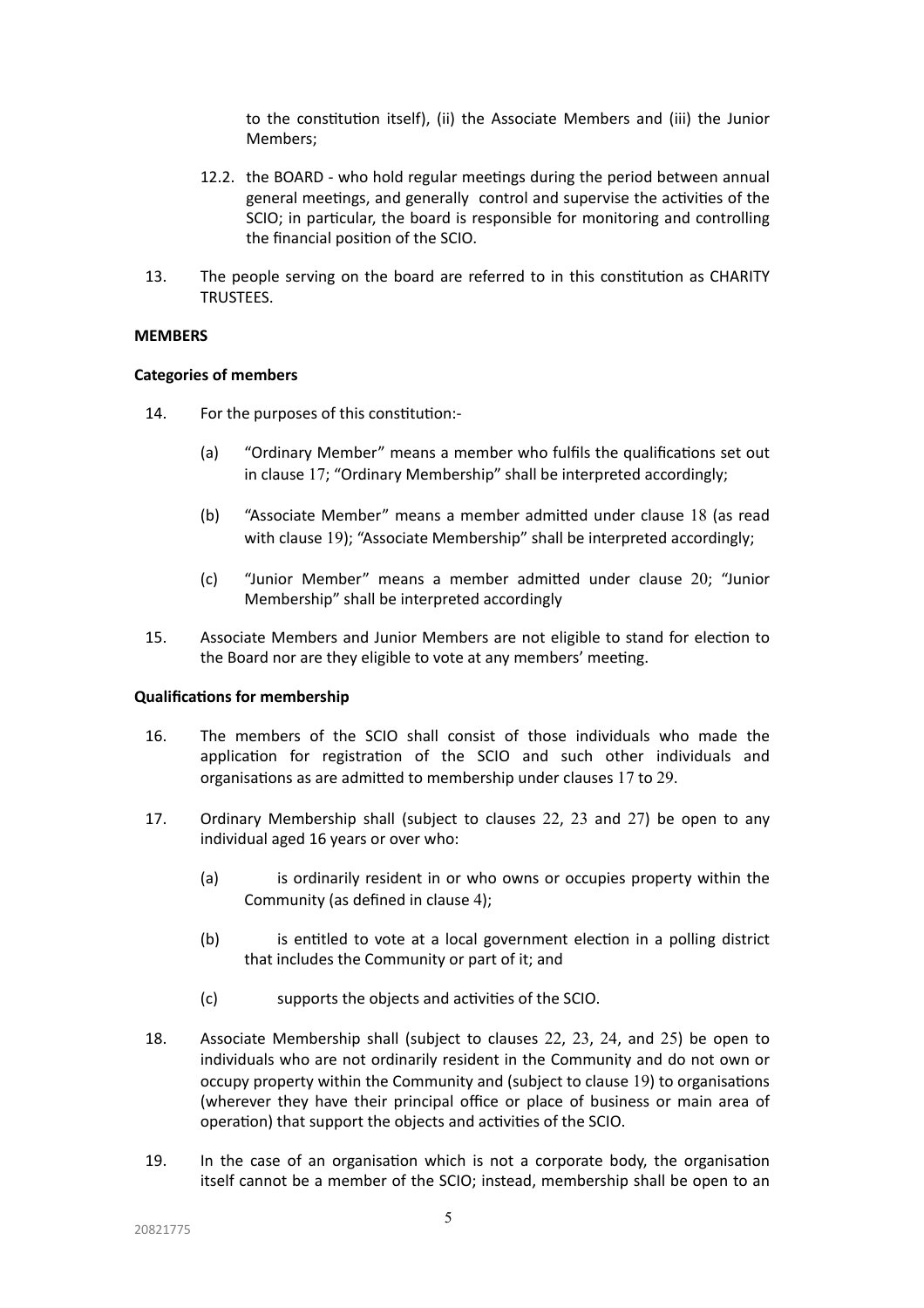to the constitution itself), (ii) the Associate Members and (iii) the Junior Members;

- 12.2. the BOARD who hold regular meetings during the period between annual general meetings, and generally control and supervise the activities of the SCIO; in particular, the board is responsible for monitoring and controlling the financial position of the SCIO.
- 13. The people serving on the board are referred to in this constitution as CHARITY TRUSTEES.

# **MEMBERS**

# **Categories of members**

- <span id="page-4-0"></span>14. For the purposes of this constitution:-
	- (a) "Ordinary Member" means a member who fulfils the qualifications set out in clause [17](#page-4-1); "Ordinary Membership" shall be interpreted accordingly;
	- (b) "Associate Member" means a member admitted under clause [18](#page-4-2) (as read with clause [19](#page-5-0)); "Associate Membership" shall be interpreted accordingly;
	- (c) "Junior Member" means a member admitted under clause [20](#page-5-1); "Junior Membership" shall be interpreted accordingly
- 15. Associate Members and Junior Members are not eligible to stand for election to the Board nor are they eligible to vote at any members' meeting.

# **Qualifications for membership**

- 16. The members of the SCIO shall consist of those individuals who made the application for registration of the SCIO and such other individuals and organisations as are admitted to membership under clauses [17](#page-4-1) to 29.
- <span id="page-4-1"></span>17. Ordinary Membership shall (subject to clauses [22](#page-5-2), [23](#page-5-3) and [27](#page-5-4)) be open to any individual aged 16 years or over who:
	- (a) is ordinarily resident in or who owns or occupies property within the Community (as defined in clause [4](#page-2-0));
	- (b) is entitled to vote at a local government election in a polling district that includes the Community or part of it; and
	- (c) supports the objects and activities of the SCIO.
- <span id="page-4-2"></span>18. Associate Membership shall (subject to clauses [22](#page-5-2), [23](#page-5-3), [24](#page-5-5), and [25](#page-5-6)) be open to individuals who are not ordinarily resident in the Community and do not own or occupy property within the Community and (subject to clause [19](#page-5-0)) to organisations (wherever they have their principal office or place of business or main area of operation) that support the objects and activities of the SCIO.
- 19. In the case of an organisation which is not a corporate body, the organisation itself cannot be a member of the SCIO; instead, membership shall be open to an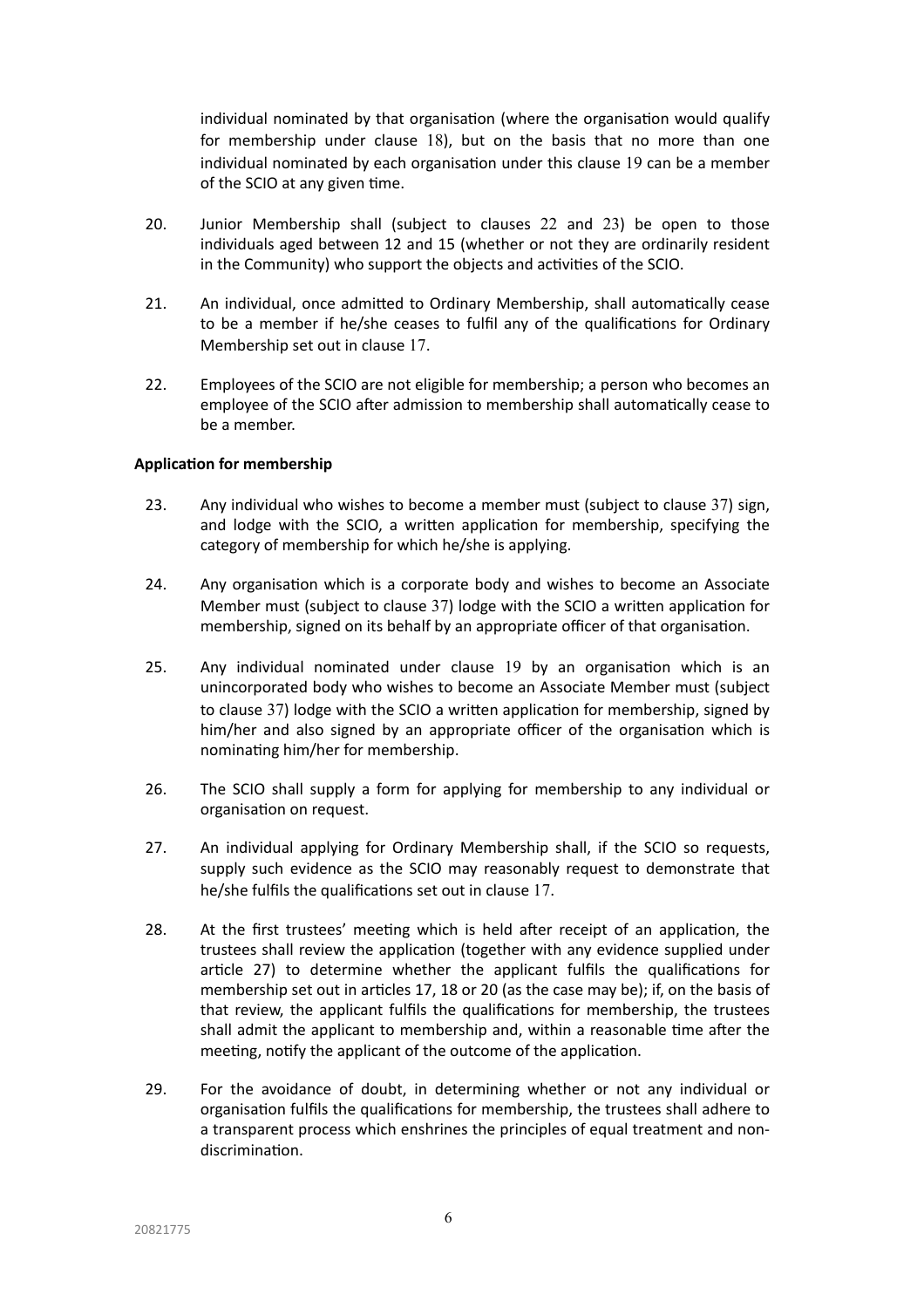individual nominated by that organisation (where the organisation would qualify for membership under clause [18](#page-4-2)), but on the basis that no more than one individual nominated by each organisation under this clause [19](#page-5-0) can be a member of the SCIO at any given time.

- <span id="page-5-1"></span>20. Junior Membership shall (subject to clauses [22](#page-5-2) and [23](#page-5-3)) be open to those individuals aged between 12 and 15 (whether or not they are ordinarily resident in the Community) who support the objects and activities of the SCIO.
- 21. An individual, once admitted to Ordinary Membership, shall automatically cease to be a member if he/she ceases to fulfil any of the qualifications for Ordinary Membership set out in clause [17](#page-4-1).
- <span id="page-5-2"></span>22. Employees of the SCIO are not eligible for membership; a person who becomes an employee of the SCIO after admission to membership shall automatically cease to be a member.

# **Application for membership**

- <span id="page-5-3"></span>23. Any individual who wishes to become a member must (subject to clause [37](#page-6-0)) sign, and lodge with the SCIO, a written application for membership, specifying the category of membership for which he/she is applying.
- <span id="page-5-5"></span>24. Any organisation which is a corporate body and wishes to become an Associate Member must (subject to clause [37](#page-6-0)) lodge with the SCIO a written application for membership, signed on its behalf by an appropriate officer of that organisation.
- <span id="page-5-6"></span>25. Any individual nominated under clause [19](#page-5-0) by an organisation which is an unincorporated body who wishes to become an Associate Member must (subject to clause [37](#page-6-0)) lodge with the SCIO a written application for membership, signed by him/her and also signed by an appropriate officer of the organisation which is nominating him/her for membership.
- 26. The SCIO shall supply a form for applying for membership to any individual or organisation on request.
- <span id="page-5-4"></span>27. An individual applying for Ordinary Membership shall, if the SCIO so requests, supply such evidence as the SCIO may reasonably request to demonstrate that he/she fulfils the qualifications set out in clause [17](#page-4-1).
- 28. At the first trustees' meeting which is held after receipt of an application, the trustees shall review the application (together with any evidence supplied under article 27) to determine whether the applicant fulfils the qualifications for membership set out in articles 17, 18 or 20 (as the case may be); if, on the basis of that review, the applicant fulfils the qualifications for membership, the trustees shall admit the applicant to membership and, within a reasonable time after the meeting, notify the applicant of the outcome of the application.
- <span id="page-5-0"></span>29. For the avoidance of doubt, in determining whether or not any individual or organisation fulfils the qualifications for membership, the trustees shall adhere to a transparent process which enshrines the principles of equal treatment and nondiscrimination.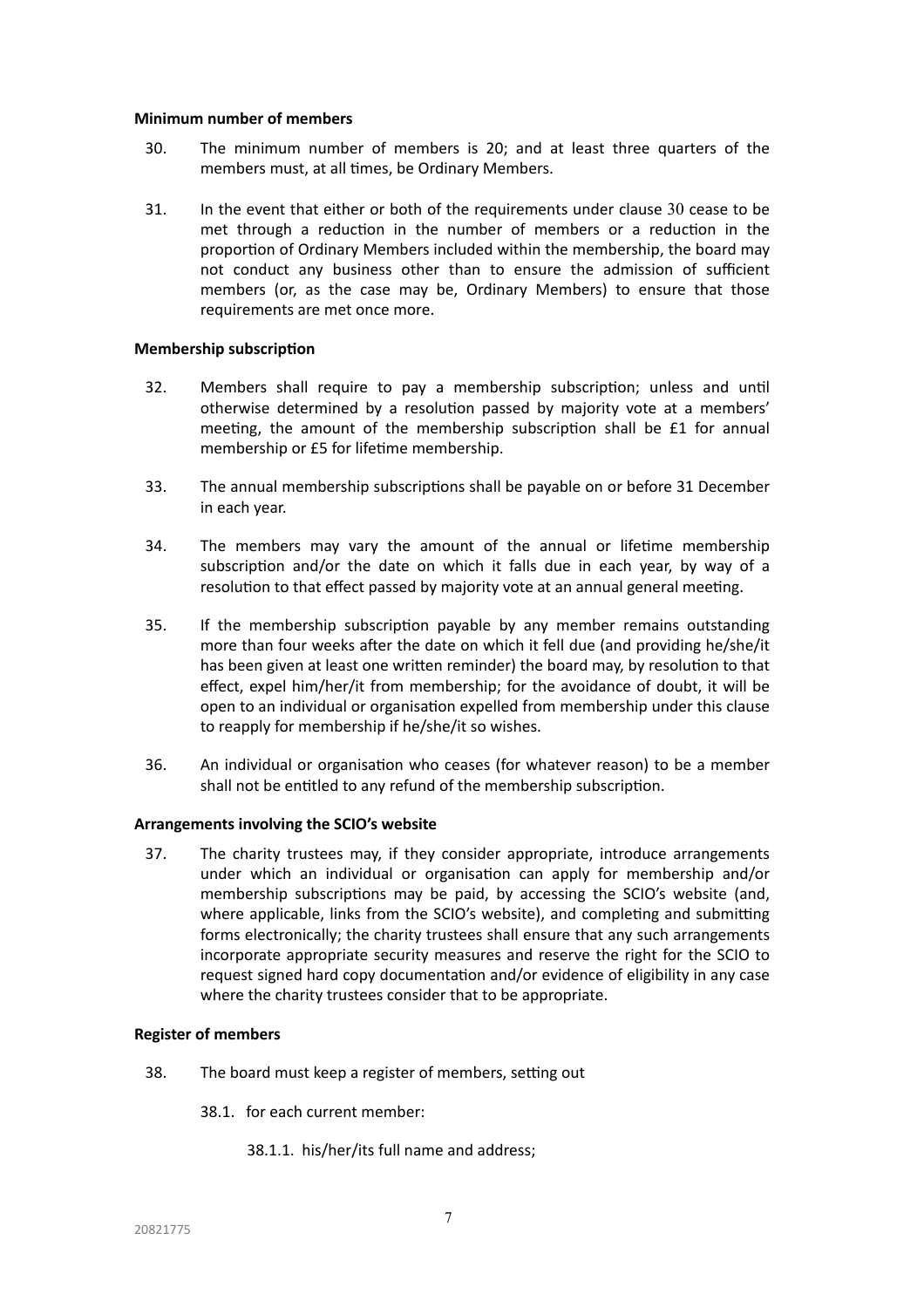#### **Minimum number of members**

- <span id="page-6-1"></span>30. The minimum number of members is 20; and at least three quarters of the members must, at all times, be Ordinary Members.
- 31. In the event that either or both of the requirements under clause [30](#page-6-1) cease to be met through a reduction in the number of members or a reduction in the proportion of Ordinary Members included within the membership, the board may not conduct any business other than to ensure the admission of sufficient members (or, as the case may be, Ordinary Members) to ensure that those requirements are met once more.

#### **Membership subscription**

- 32. Members shall require to pay a membership subscription; unless and until otherwise determined by a resolution passed by majority vote at a members' meeting, the amount of the membership subscription shall be £1 for annual membership or £5 for lifetime membership.
- 33. The annual membership subscriptions shall be payable on or before 31 December in each year.
- 34. The members may vary the amount of the annual or lifetime membership subscription and/or the date on which it falls due in each year, by way of a resolution to that effect passed by majority vote at an annual general meeting.
- 35. If the membership subscription payable by any member remains outstanding more than four weeks after the date on which it fell due (and providing he/she/it has been given at least one written reminder) the board may, by resolution to that effect, expel him/her/it from membership; for the avoidance of doubt, it will be open to an individual or organisation expelled from membership under this clause to reapply for membership if he/she/it so wishes.
- 36. An individual or organisation who ceases (for whatever reason) to be a member shall not be entitled to any refund of the membership subscription.

#### **Arrangements involving the SCIO's website**

<span id="page-6-0"></span>37. The charity trustees may, if they consider appropriate, introduce arrangements under which an individual or organisation can apply for membership and/or membership subscriptions may be paid, by accessing the SCIO's website (and, where applicable, links from the SCIO's website), and completing and submitting forms electronically; the charity trustees shall ensure that any such arrangements incorporate appropriate security measures and reserve the right for the SCIO to request signed hard copy documentation and/or evidence of eligibility in any case where the charity trustees consider that to be appropriate.

#### **Register of members**

- 38. The board must keep a register of members, setting out
	- 38.1. for each current member:
		- 38.1.1. his/her/its full name and address;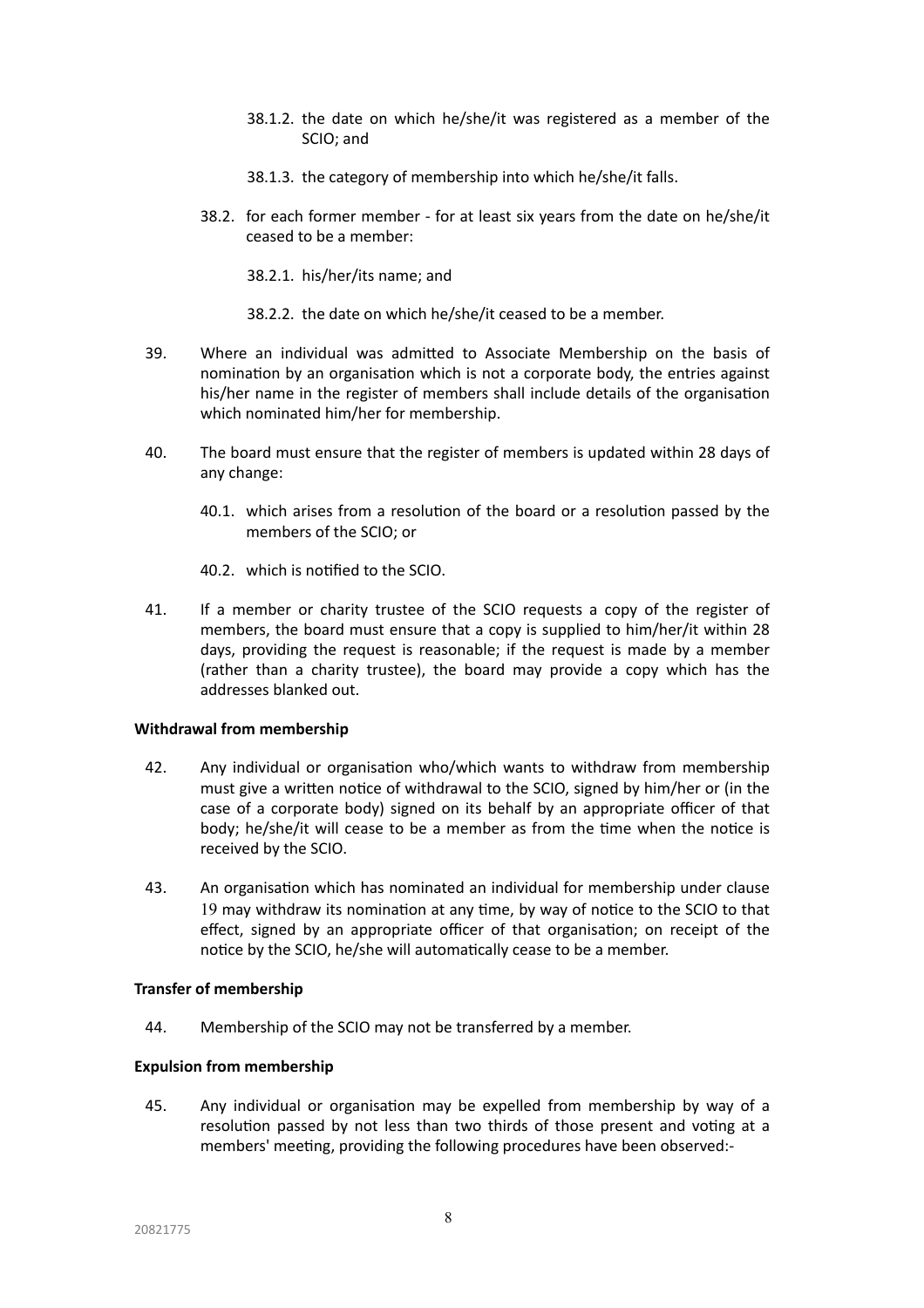- 38.1.2. the date on which he/she/it was registered as a member of the SCIO; and
- 38.1.3. the category of membership into which he/she/it falls.
- 38.2. for each former member for at least six years from the date on he/she/it ceased to be a member:

38.2.1. his/her/its name; and

- 38.2.2. the date on which he/she/it ceased to be a member.
- 39. Where an individual was admitted to Associate Membership on the basis of nomination by an organisation which is not a corporate body, the entries against his/her name in the register of members shall include details of the organisation which nominated him/her for membership.
- 40. The board must ensure that the register of members is updated within 28 days of any change:
	- 40.1. which arises from a resolution of the board or a resolution passed by the members of the SCIO; or
	- 40.2. which is notified to the SCIO.
- 41. If a member or charity trustee of the SCIO requests a copy of the register of members, the board must ensure that a copy is supplied to him/her/it within 28 days, providing the request is reasonable; if the request is made by a member (rather than a charity trustee), the board may provide a copy which has the addresses blanked out.

# **Withdrawal from membership**

- 42. Any individual or organisation who/which wants to withdraw from membership must give a written notice of withdrawal to the SCIO, signed by him/her or (in the case of a corporate body) signed on its behalf by an appropriate officer of that body; he/she/it will cease to be a member as from the time when the notice is received by the SCIO.
- 43. An organisation which has nominated an individual for membership under clause [19](#page-5-0) may withdraw its nomination at any time, by way of notice to the SCIO to that effect, signed by an appropriate officer of that organisation; on receipt of the notice by the SCIO, he/she will automatically cease to be a member.

#### **Transfer of membership**

44. Membership of the SCIO may not be transferred by a member.

# **Expulsion from membership**

45. Any individual or organisation may be expelled from membership by way of a resolution passed by not less than two thirds of those present and voting at a members' meeting, providing the following procedures have been observed:-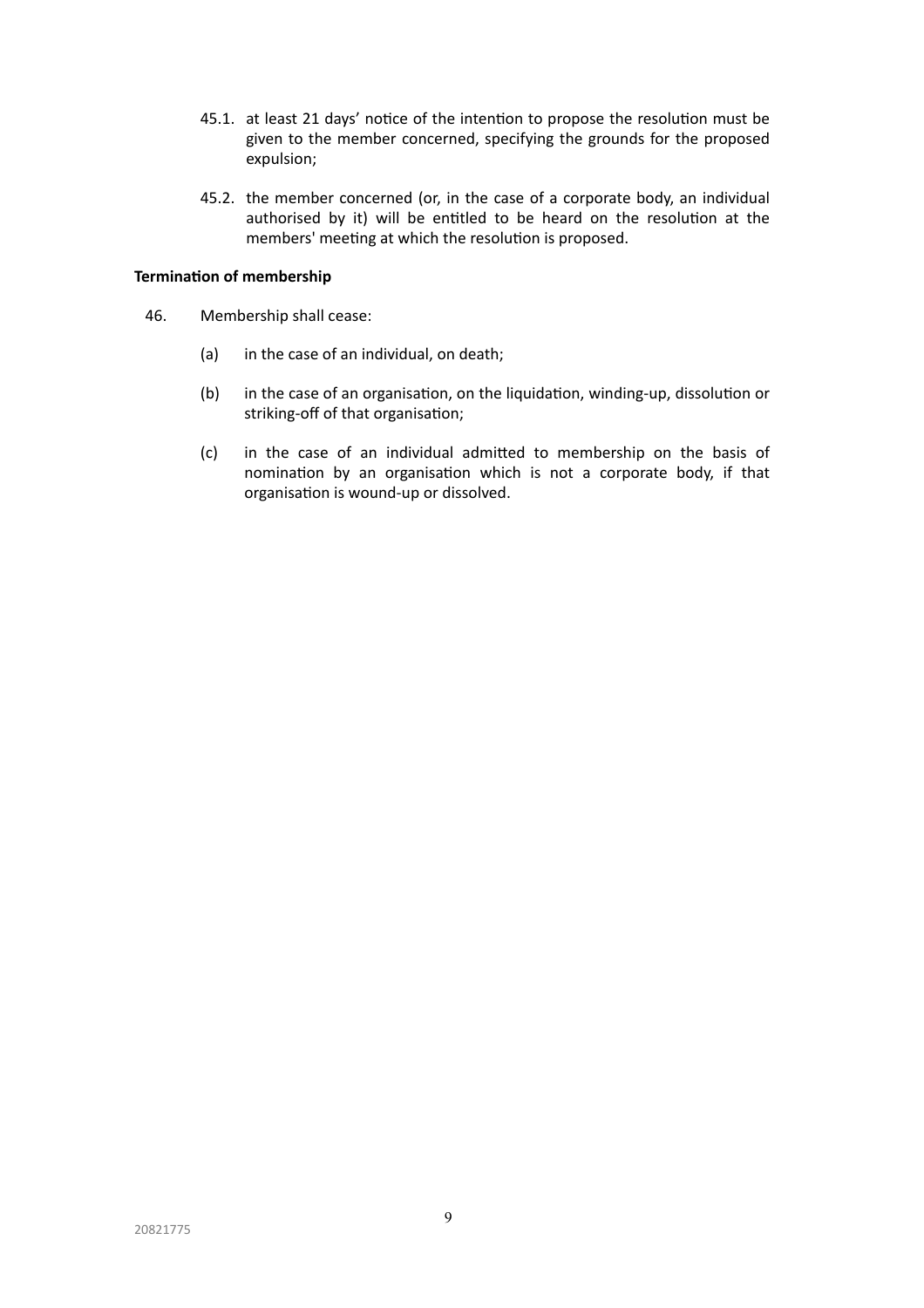- 45.1. at least 21 days' notice of the intention to propose the resolution must be given to the member concerned, specifying the grounds for the proposed expulsion;
- 45.2. the member concerned (or, in the case of a corporate body, an individual authorised by it) will be entitled to be heard on the resolution at the members' meeting at which the resolution is proposed.

# **Termination of membership**

- <span id="page-8-0"></span>46. Membership shall cease:
	- (a) in the case of an individual, on death;
	- (b) in the case of an organisation, on the liquidation, winding-up, dissolution or striking-off of that organisation;
	- (c) in the case of an individual admitted to membership on the basis of nomination by an organisation which is not a corporate body, if that organisation is wound-up or dissolved.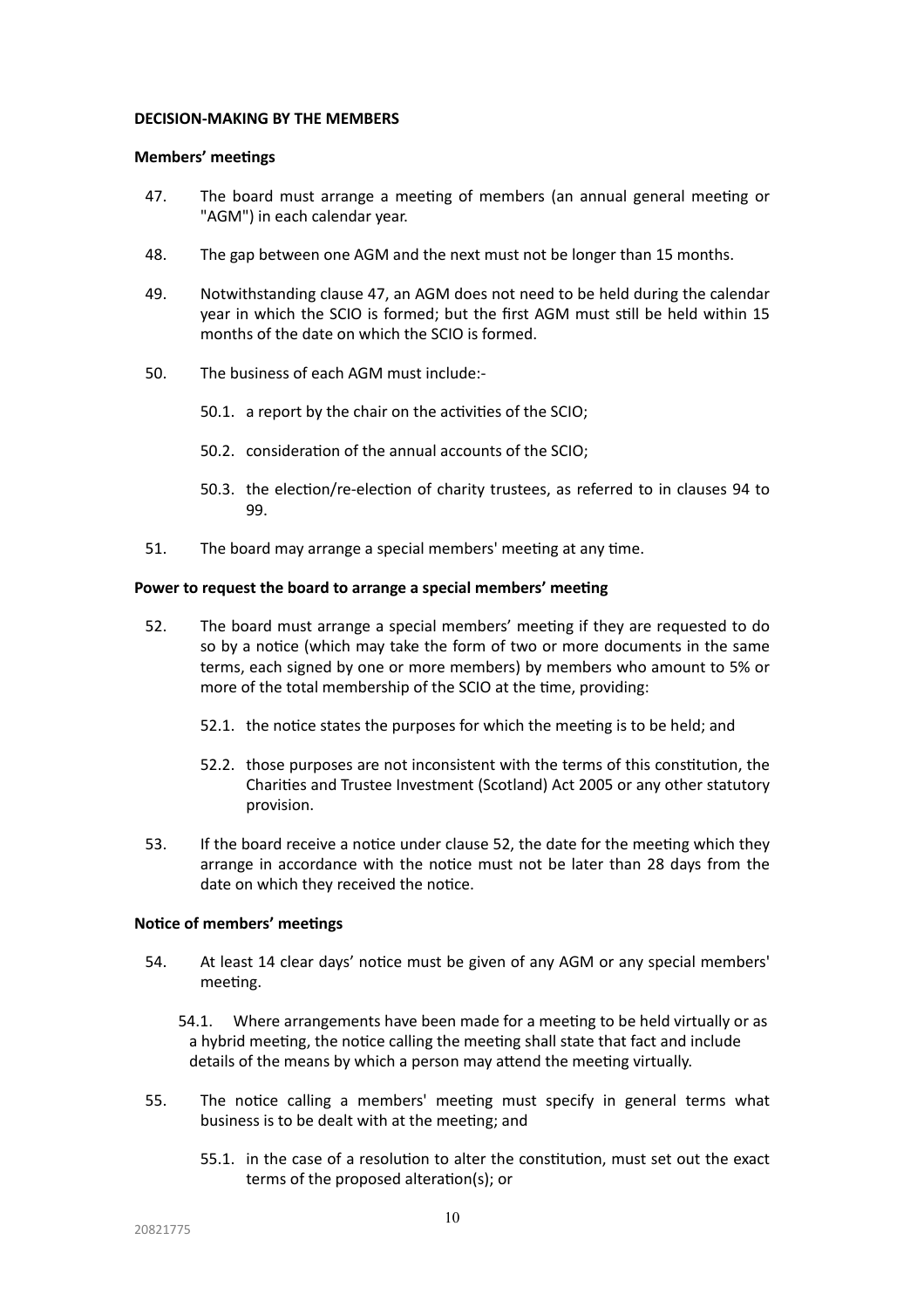#### **DECISION-MAKING BY THE MEMBERS**

#### **Members' meetings**

- 47. The board must arrange a meeting of members (an annual general meeting or "AGM") in each calendar year.
- 48. The gap between one AGM and the next must not be longer than 15 months.
- 49. Notwithstanding clause 47, an AGM does not need to be held during the calendar year in which the SCIO is formed; but the first AGM must still be held within 15 months of the date on which the SCIO is formed.
- 50. The business of each AGM must include:-
	- 50.1. a report by the chair on the activities of the SCIO;
	- 50.2. consideration of the annual accounts of the SCIO;
	- 50.3. the election/re-election of charity trustees, as referred to in clauses 94 to 99.
- 51. The board may arrange a special members' meeting at any time.

#### **Power to request the board to arrange a special members' meeting**

- 52. The board must arrange a special members' meeting if they are requested to do so by a notice (which may take the form of two or more documents in the same terms, each signed by one or more members) by members who amount to 5% or more of the total membership of the SCIO at the time, providing:
	- 52.1. the notice states the purposes for which the meeting is to be held; and
	- 52.2. those purposes are not inconsistent with the terms of this constitution, the Charities and Trustee Investment (Scotland) Act 2005 or any other statutory provision.
- 53. If the board receive a notice under clause 52, the date for the meeting which they arrange in accordance with the notice must not be later than 28 days from the date on which they received the notice.

# **Notice of members' meetings**

- <span id="page-9-0"></span>54. At least 14 clear days' notice must be given of any AGM or any special members' meeting.
	- 54.1. Where arrangements have been made for a meeting to be held virtually or as a hybrid meeting, the notice calling the meeting shall state that fact and include details of the means by which a person may attend the meeting virtually.
- 55. The notice calling a members' meeting must specify in general terms what business is to be dealt with at the meeting; and
	- 55.1. in the case of a resolution to alter the constitution, must set out the exact terms of the proposed alteration(s); or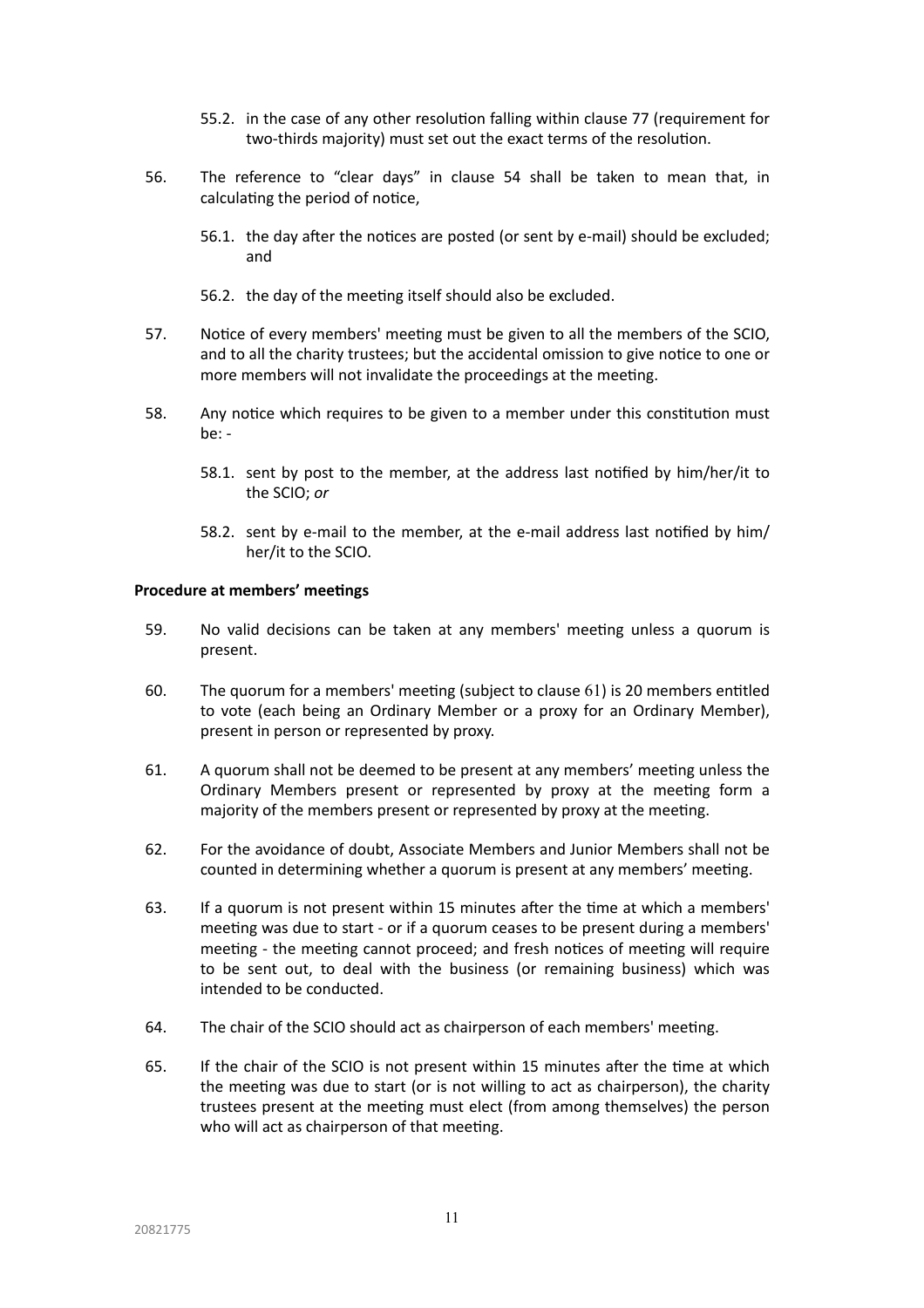- 55.2. in the case of any other resolution falling within clause 77 (requirement for two-thirds majority) must set out the exact terms of the resolution.
- 56. The reference to "clear days" in clause 54 shall be taken to mean that, in calculating the period of notice,
	- 56.1. the day after the notices are posted (or sent by e-mail) should be excluded; and
	- 56.2. the day of the meeting itself should also be excluded.
- 57. Notice of every members' meeting must be given to all the members of the SCIO, and to all the charity trustees; but the accidental omission to give notice to one or more members will not invalidate the proceedings at the meeting.
- <span id="page-10-1"></span>58. Any notice which requires to be given to a member under this constitution must be: -
	- 58.1. sent by post to the member, at the address last notified by him/her/it to the SCIO; *or*
	- 58.2. sent by e-mail to the member, at the e-mail address last notified by him/ her/it to the SCIO.

# **Procedure at members' meetings**

- 59. No valid decisions can be taken at any members' meeting unless a quorum is present.
- 60. The quorum for a members' meeting (subject to clause [61](#page-10-0)) is 20 members entitled to vote (each being an Ordinary Member or a proxy for an Ordinary Member), present in person or represented by proxy.
- <span id="page-10-0"></span>61. A quorum shall not be deemed to be present at any members' meeting unless the Ordinary Members present or represented by proxy at the meeting form a majority of the members present or represented by proxy at the meeting.
- 62. For the avoidance of doubt, Associate Members and Junior Members shall not be counted in determining whether a quorum is present at any members' meeting.
- 63. If a quorum is not present within 15 minutes after the time at which a members' meeting was due to start - or if a quorum ceases to be present during a members' meeting - the meeting cannot proceed; and fresh notices of meeting will require to be sent out, to deal with the business (or remaining business) which was intended to be conducted.
- 64. The chair of the SCIO should act as chairperson of each members' meeting.
- 65. If the chair of the SCIO is not present within 15 minutes after the time at which the meeting was due to start (or is not willing to act as chairperson), the charity trustees present at the meeting must elect (from among themselves) the person who will act as chairperson of that meeting.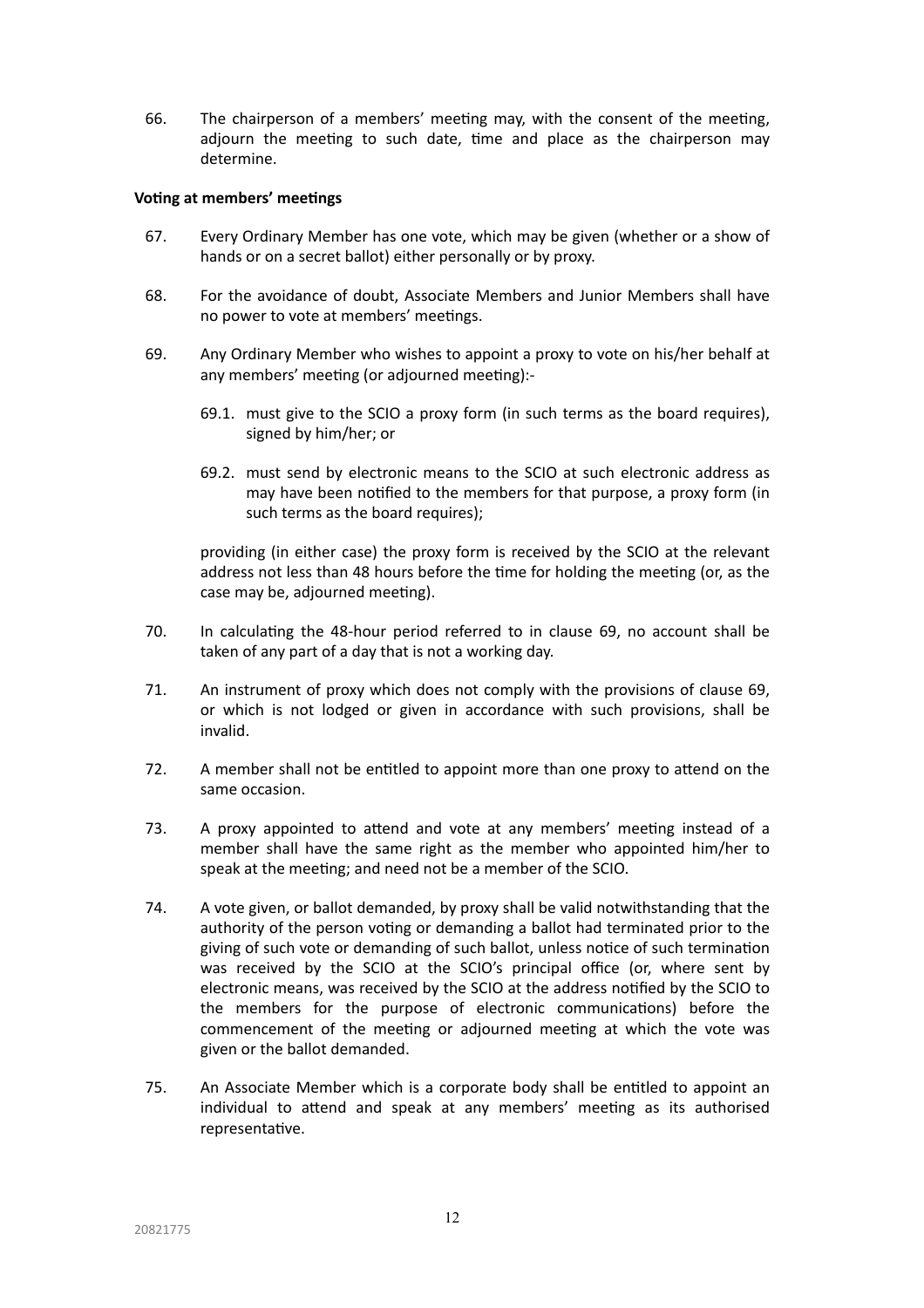66. The chairperson of a members' meeting may, with the consent of the meeting, adjourn the meeting to such date, time and place as the chairperson may determine.

# **Voting at members' meetings**

- 67. Every Ordinary Member has one vote, which may be given (whether or a show of hands or on a secret ballot) either personally or by proxy.
- 68. For the avoidance of doubt, Associate Members and Junior Members shall have no power to vote at members' meetings.
- 69. Any Ordinary Member who wishes to appoint a proxy to vote on his/her behalf at any members' meeting (or adjourned meeting):-
	- 69.1. must give to the SCIO a proxy form (in such terms as the board requires), signed by him/her; or
	- 69.2. must send by electronic means to the SCIO at such electronic address as may have been notified to the members for that purpose, a proxy form (in such terms as the board requires);

providing (in either case) the proxy form is received by the SCIO at the relevant address not less than 48 hours before the time for holding the meeting (or, as the case may be, adjourned meeting).

- 70. In calculating the 48-hour period referred to in clause 69, no account shall be taken of any part of a day that is not a working day.
- 71. An instrument of proxy which does not comply with the provisions of clause 69, or which is not lodged or given in accordance with such provisions, shall be invalid.
- 72. A member shall not be entitled to appoint more than one proxy to attend on the same occasion.
- 73. A proxy appointed to attend and vote at any members' meeting instead of a member shall have the same right as the member who appointed him/her to speak at the meeting; and need not be a member of the SCIO.
- 74. A vote given, or ballot demanded, by proxy shall be valid notwithstanding that the authority of the person voting or demanding a ballot had terminated prior to the giving of such vote or demanding of such ballot, unless notice of such termination was received by the SCIO at the SCIO's principal office (or, where sent by electronic means, was received by the SCIO at the address notified by the SCIO to the members for the purpose of electronic communications) before the commencement of the meeting or adjourned meeting at which the vote was given or the ballot demanded.
- 75. An Associate Member which is a corporate body shall be entitled to appoint an individual to attend and speak at any members' meeting as its authorised representative.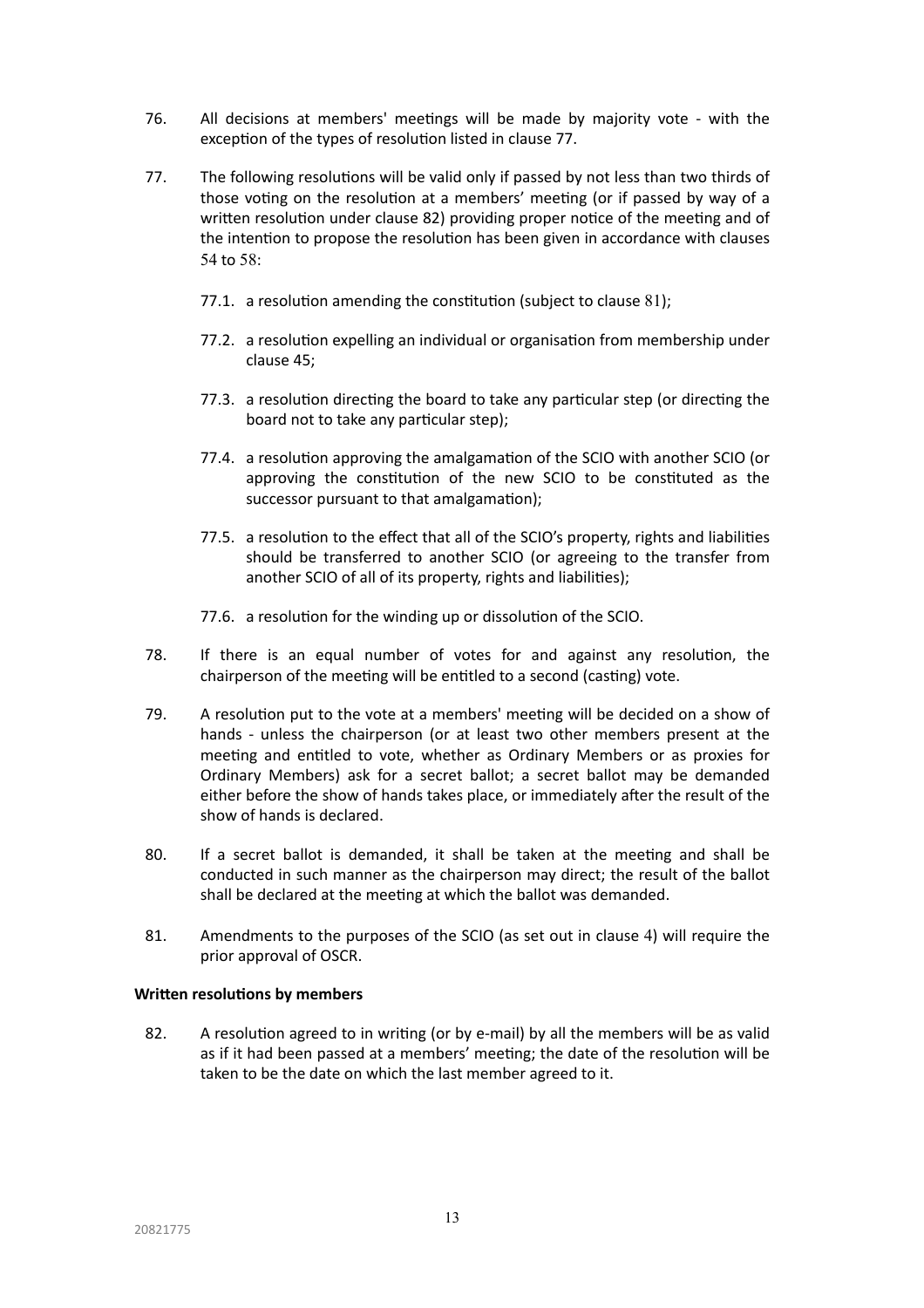- 76. All decisions at members' meetings will be made by majority vote with the exception of the types of resolution listed in clause 77.
- <span id="page-12-1"></span>77. The following resolutions will be valid only if passed by not less than two thirds of those voting on the resolution at a members' meeting (or if passed by way of a written resolution under clause 82) providing proper notice of the meeting and of the intention to propose the resolution has been given in accordance with clauses [54](#page-9-0) to [58](#page-10-1):
	- 77.1. a resolution amending the constitution (subject to clause [81](#page-12-0));
	- 77.2. a resolution expelling an individual or organisation from membership under clause 45;
	- 77.3. a resolution directing the board to take any particular step (or directing the board not to take any particular step);
	- 77.4. a resolution approving the amalgamation of the SCIO with another SCIO (or approving the constitution of the new SCIO to be constituted as the successor pursuant to that amalgamation);
	- 77.5. a resolution to the effect that all of the SCIO's property, rights and liabilities should be transferred to another SCIO (or agreeing to the transfer from another SCIO of all of its property, rights and liabilities);
	- 77.6. a resolution for the winding up or dissolution of the SCIO.
- 78. If there is an equal number of votes for and against any resolution, the chairperson of the meeting will be entitled to a second (casting) vote.
- 79. A resolution put to the vote at a members' meeting will be decided on a show of hands - unless the chairperson (or at least two other members present at the meeting and entitled to vote, whether as Ordinary Members or as proxies for Ordinary Members) ask for a secret ballot; a secret ballot may be demanded either before the show of hands takes place, or immediately after the result of the show of hands is declared.
- 80. If a secret ballot is demanded, it shall be taken at the meeting and shall be conducted in such manner as the chairperson may direct; the result of the ballot shall be declared at the meeting at which the ballot was demanded.
- <span id="page-12-0"></span>81. Amendments to the purposes of the SCIO (as set out in clause [4](#page-2-0)) will require the prior approval of OSCR.

# **Written resolutions by members**

82. A resolution agreed to in writing (or by e-mail) by all the members will be as valid as if it had been passed at a members' meeting; the date of the resolution will be taken to be the date on which the last member agreed to it.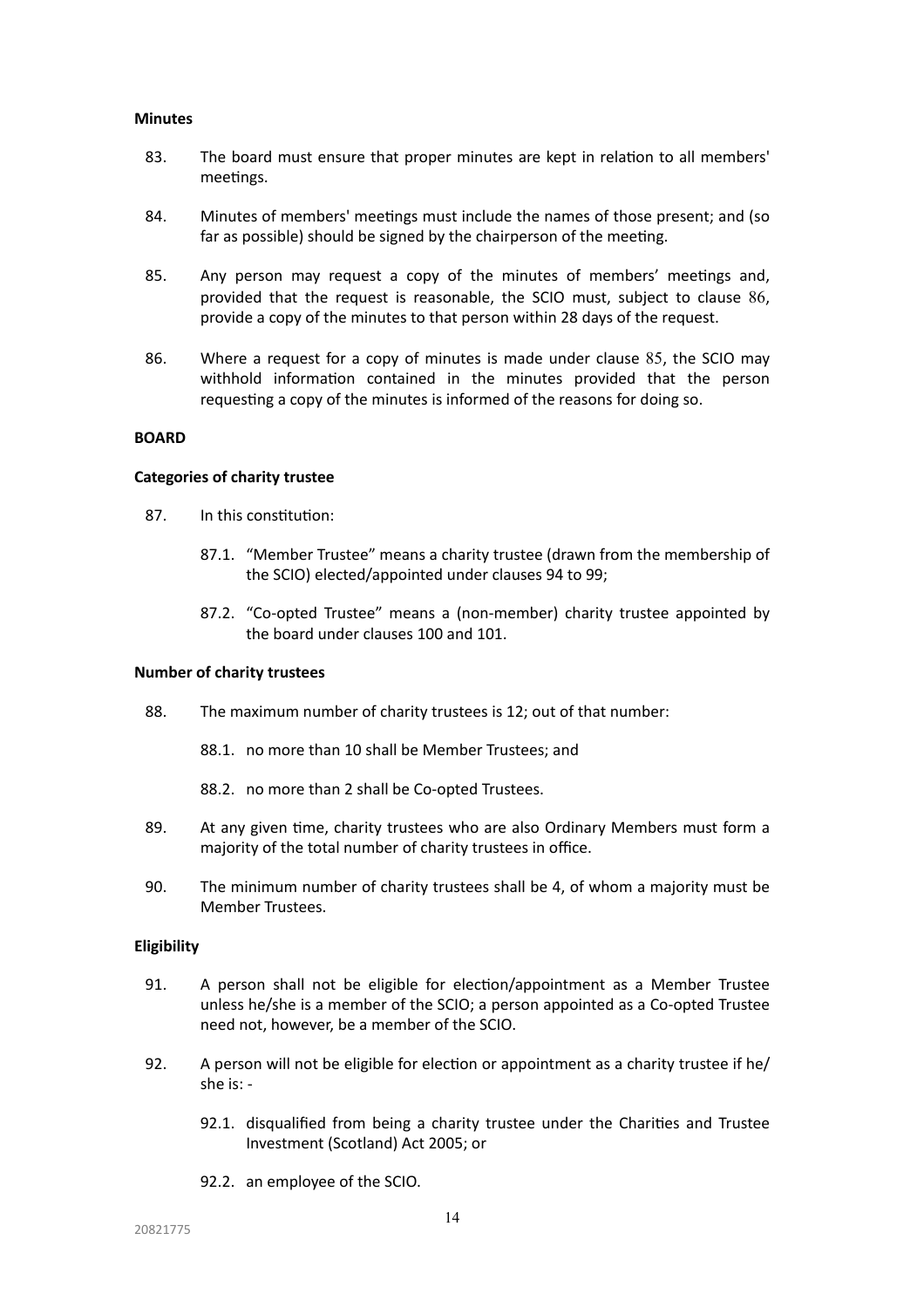#### **Minutes**

- 83. The board must ensure that proper minutes are kept in relation to all members' meetings.
- 84. Minutes of members' meetings must include the names of those present; and (so far as possible) should be signed by the chairperson of the meeting.
- <span id="page-13-2"></span>85. Any person may request a copy of the minutes of members' meetings and, provided that the request is reasonable, the SCIO must, subject to clause [86](#page-13-0), provide a copy of the minutes to that person within 28 days of the request.
- <span id="page-13-0"></span>86. Where a request for a copy of minutes is made under clause [85](#page-13-2), the SCIO may withhold information contained in the minutes provided that the person requesting a copy of the minutes is informed of the reasons for doing so.

# **BOARD**

# **Categories of charity trustee**

- <span id="page-13-1"></span>87. In this constitution:
	- 87.1. "Member Trustee" means a charity trustee (drawn from the membership of the SCIO) elected/appointed under clauses 94 to 99;
	- 87.2. "Co-opted Trustee" means a (non-member) charity trustee appointed by the board under clauses 100 and 101.

# **Number of charity trustees**

- <span id="page-13-3"></span>88. The maximum number of charity trustees is 12; out of that number:
	- 88.1. no more than 10 shall be Member Trustees; and
	- 88.2. no more than 2 shall be Co-opted Trustees.
- 89. At any given time, charity trustees who are also Ordinary Members must form a majority of the total number of charity trustees in office.
- 90. The minimum number of charity trustees shall be 4, of whom a majority must be Member Trustees.

#### **Eligibility**

- 91. A person shall not be eligible for election/appointment as a Member Trustee unless he/she is a member of the SCIO; a person appointed as a Co-opted Trustee need not, however, be a member of the SCIO.
- <span id="page-13-4"></span>92. A person will not be eligible for election or appointment as a charity trustee if he/ she is: -
	- 92.1. disqualified from being a charity trustee under the Charities and Trustee Investment (Scotland) Act 2005; or
	- 92.2. an employee of the SCIO.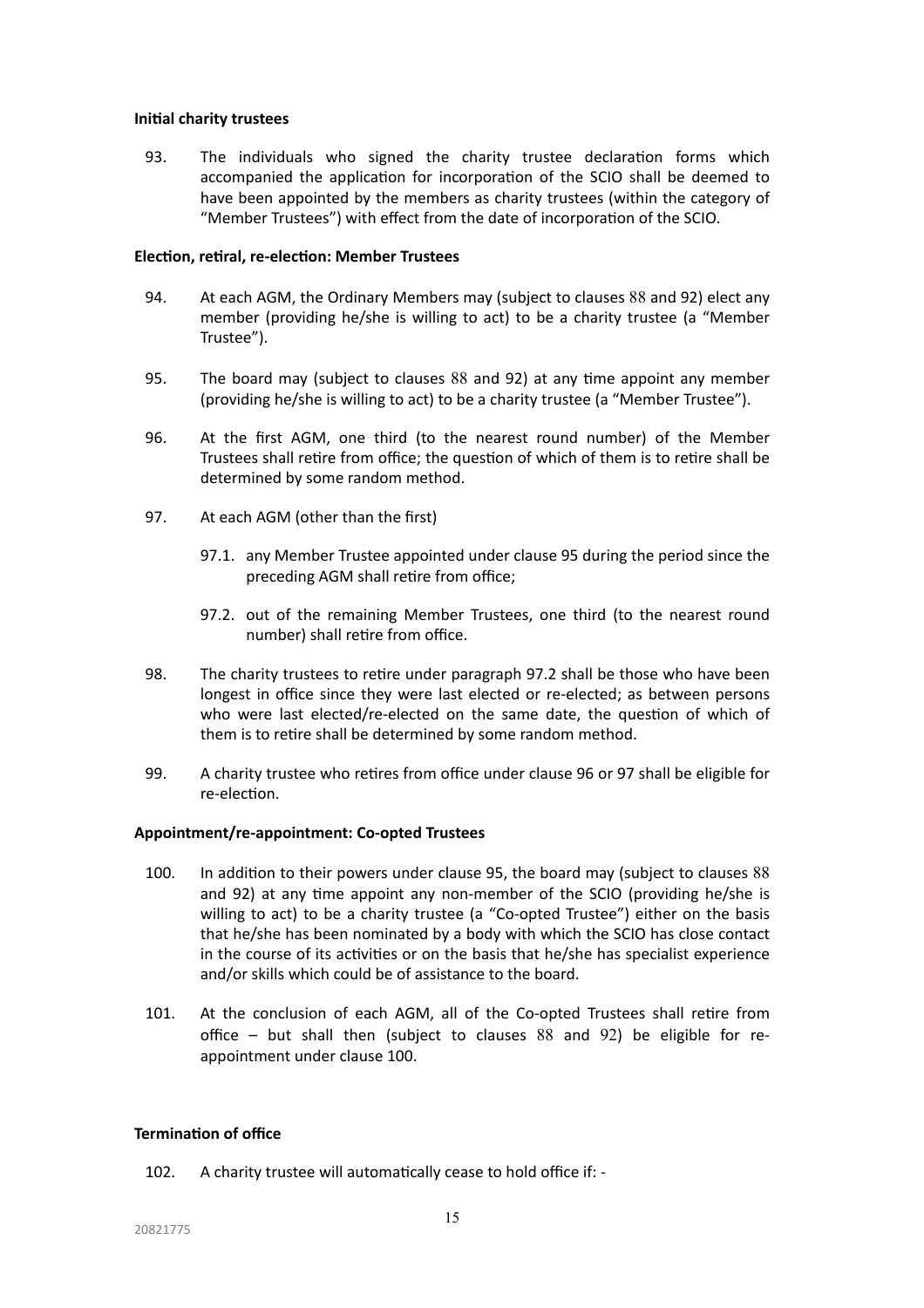# **Initial charity trustees**

93. The individuals who signed the charity trustee declaration forms which accompanied the application for incorporation of the SCIO shall be deemed to have been appointed by the members as charity trustees (within the category of "Member Trustees") with effect from the date of incorporation of the SCIO.

# **Election, retiral, re-election: Member Trustees**

- 94. At each AGM, the Ordinary Members may (subject to clauses [88](#page-13-3) and 92) elect any member (providing he/she is willing to act) to be a charity trustee (a "Member Trustee").
- 95. The board may (subject to clauses [88](#page-13-3) and 92) at any time appoint any member (providing he/she is willing to act) to be a charity trustee (a "Member Trustee").
- 96. At the first AGM, one third (to the nearest round number) of the Member Trustees shall retire from office; the question of which of them is to retire shall be determined by some random method.
- 97. At each AGM (other than the first)
	- 97.1. any Member Trustee appointed under clause 95 during the period since the preceding AGM shall retire from office;
	- 97.2. out of the remaining Member Trustees, one third (to the nearest round number) shall retire from office.
- 98. The charity trustees to retire under paragraph 97.2 shall be those who have been longest in office since they were last elected or re-elected; as between persons who were last elected/re-elected on the same date, the question of which of them is to retire shall be determined by some random method.
- 99. A charity trustee who retires from office under clause 96 or 97 shall be eligible for re-election.

# **Appointment/re-appointment: Co-opted Trustees**

- 100. In addition to their powers under clause 95, the board may (subject to clauses [88](#page-13-3) and 92) at any time appoint any non-member of the SCIO (providing he/she is willing to act) to be a charity trustee (a "Co-opted Trustee") either on the basis that he/she has been nominated by a body with which the SCIO has close contact in the course of its activities or on the basis that he/she has specialist experience and/or skills which could be of assistance to the board.
- 101. At the conclusion of each AGM, all of the Co-opted Trustees shall retire from office – but shall then (subject to clauses [88](#page-13-3) and [92](#page-13-4)) be eligible for reappointment under clause 100.

# **Termination of office**

102. A charity trustee will automatically cease to hold office if: -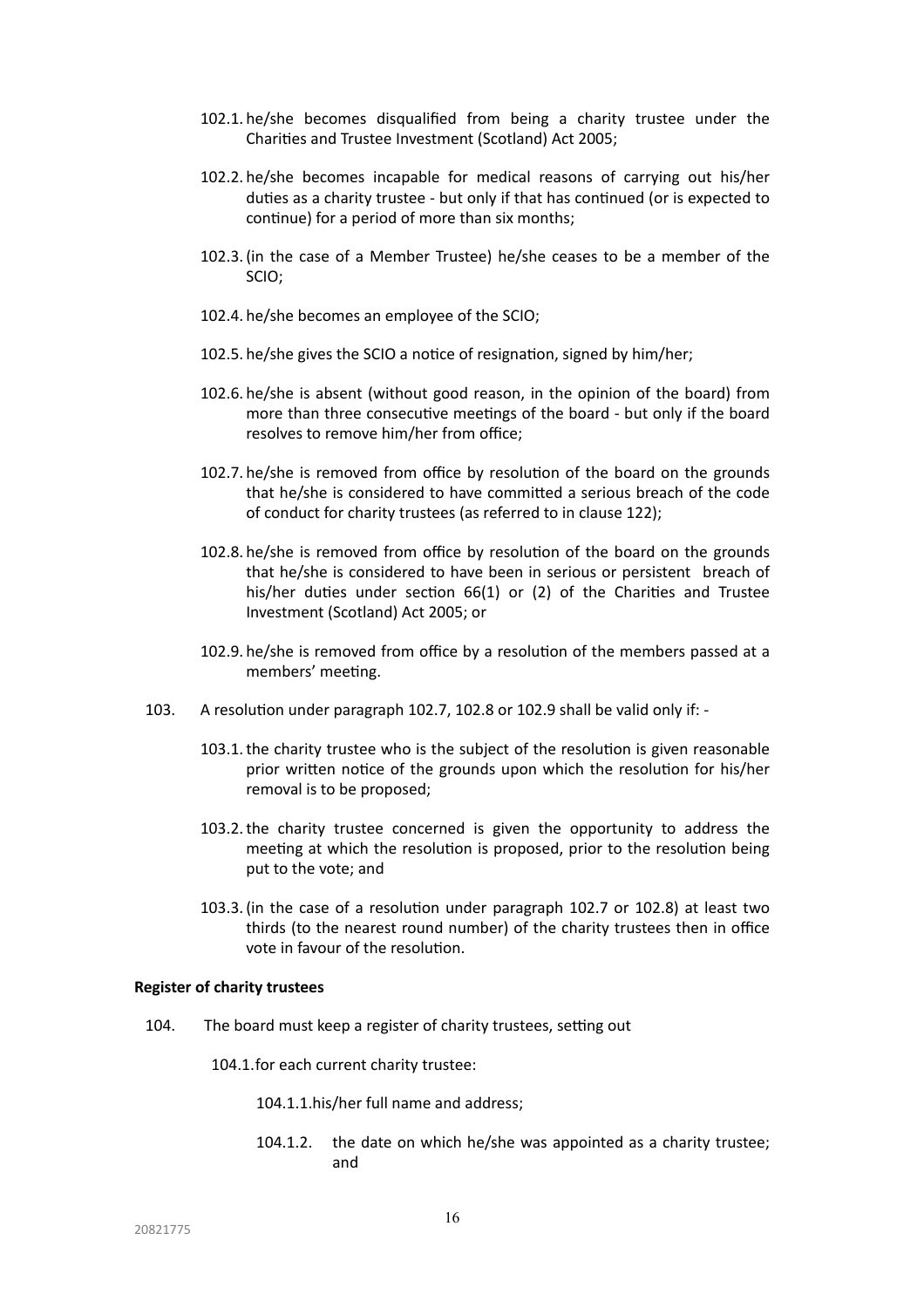- 102.1. he/she becomes disqualified from being a charity trustee under the Charities and Trustee Investment (Scotland) Act 2005;
- 102.2. he/she becomes incapable for medical reasons of carrying out his/her duties as a charity trustee - but only if that has continued (or is expected to continue) for a period of more than six months;
- 102.3.(in the case of a Member Trustee) he/she ceases to be a member of the SCIO;
- 102.4. he/she becomes an employee of the SCIO;
- 102.5. he/she gives the SCIO a notice of resignation, signed by him/her;
- 102.6. he/she is absent (without good reason, in the opinion of the board) from more than three consecutive meetings of the board - but only if the board resolves to remove him/her from office;
- 102.7. he/she is removed from office by resolution of the board on the grounds that he/she is considered to have committed a serious breach of the code of conduct for charity trustees (as referred to in clause 122);
- 102.8. he/she is removed from office by resolution of the board on the grounds that he/she is considered to have been in serious or persistent breach of his/her duties under section 66(1) or (2) of the Charities and Trustee Investment (Scotland) Act 2005; or
- 102.9. he/she is removed from office by a resolution of the members passed at a members' meeting.
- 103. A resolution under paragraph 102.7, 102.8 or 102.9 shall be valid only if:
	- 103.1.the charity trustee who is the subject of the resolution is given reasonable prior written notice of the grounds upon which the resolution for his/her removal is to be proposed;
	- 103.2.the charity trustee concerned is given the opportunity to address the meeting at which the resolution is proposed, prior to the resolution being put to the vote; and
	- 103.3.(in the case of a resolution under paragraph 102.7 or 102.8) at least two thirds (to the nearest round number) of the charity trustees then in office vote in favour of the resolution.

#### **Register of charity trustees**

104. The board must keep a register of charity trustees, setting out

104.1.for each current charity trustee:

104.1.1.his/her full name and address;

104.1.2. the date on which he/she was appointed as a charity trustee; and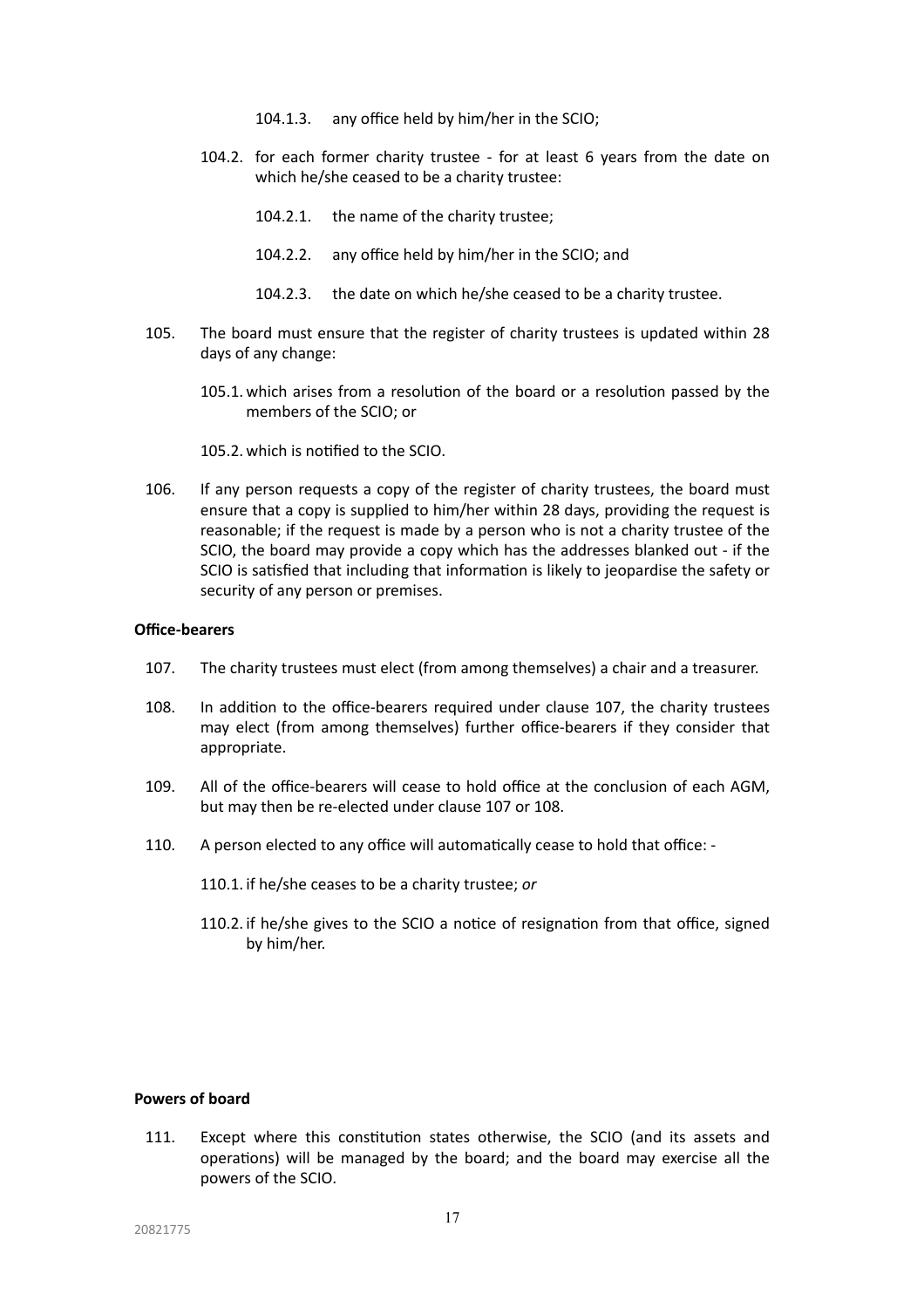- 104.1.3. any office held by him/her in the SCIO;
- 104.2. for each former charity trustee for at least 6 years from the date on which he/she ceased to be a charity trustee:
	- 104.2.1. the name of the charity trustee;
	- 104.2.2. any office held by him/her in the SCIO; and
	- 104.2.3. the date on which he/she ceased to be a charity trustee.
- 105. The board must ensure that the register of charity trustees is updated within 28 days of any change:
	- 105.1. which arises from a resolution of the board or a resolution passed by the members of the SCIO; or

105.2. which is notified to the SCIO.

106. If any person requests a copy of the register of charity trustees, the board must ensure that a copy is supplied to him/her within 28 days, providing the request is reasonable; if the request is made by a person who is not a charity trustee of the SCIO, the board may provide a copy which has the addresses blanked out - if the SCIO is satisfied that including that information is likely to jeopardise the safety or security of any person or premises.

#### **Office-bearers**

- 107. The charity trustees must elect (from among themselves) a chair and a treasurer.
- 108. In addition to the office-bearers required under clause 107, the charity trustees may elect (from among themselves) further office-bearers if they consider that appropriate.
- 109. All of the office-bearers will cease to hold office at the conclusion of each AGM, but may then be re-elected under clause 107 or 108.
- 110. A person elected to any office will automatically cease to hold that office:
	- 110.1. if he/she ceases to be a charity trustee; *or*
	- 110.2. if he/she gives to the SCIO a notice of resignation from that office, signed by him/her.

#### **Powers of board**

111. Except where this constitution states otherwise, the SCIO (and its assets and operations) will be managed by the board; and the board may exercise all the powers of the SCIO.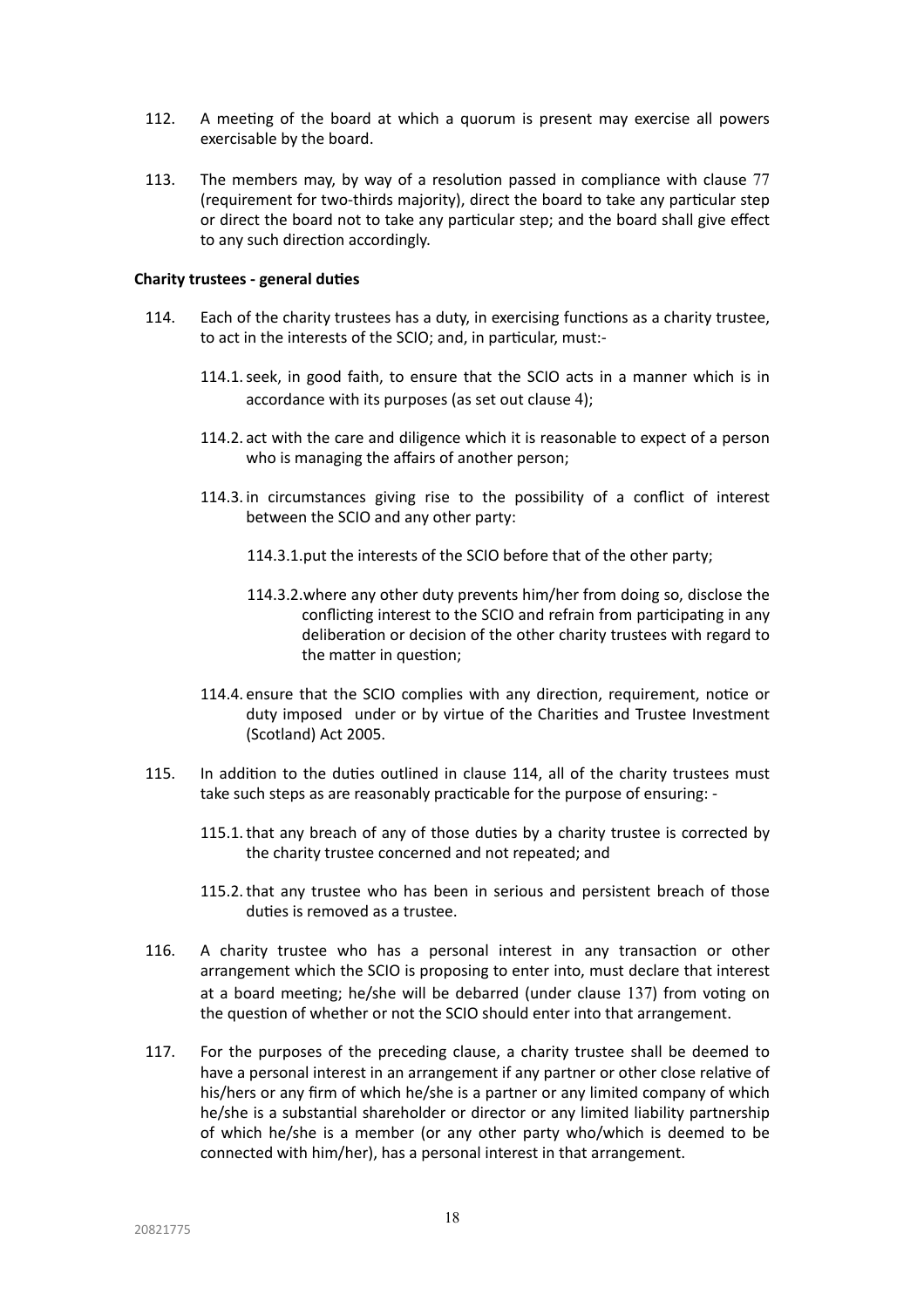- 112. A meeting of the board at which a quorum is present may exercise all powers exercisable by the board.
- 113. The members may, by way of a resolution passed in compliance with clause [77](#page-12-1) (requirement for two-thirds majority), direct the board to take any particular step or direct the board not to take any particular step; and the board shall give effect to any such direction accordingly.

#### **Charity trustees - general duties**

- 114. Each of the charity trustees has a duty, in exercising functions as a charity trustee, to act in the interests of the SCIO; and, in particular, must:-
	- 114.1.seek, in good faith, to ensure that the SCIO acts in a manner which is in accordance with its purposes (as set out clause [4](#page-2-0));
	- 114.2. act with the care and diligence which it is reasonable to expect of a person who is managing the affairs of another person;
	- 114.3. in circumstances giving rise to the possibility of a conflict of interest between the SCIO and any other party:
		- 114.3.1.put the interests of the SCIO before that of the other party;
		- 114.3.2.where any other duty prevents him/her from doing so, disclose the conflicting interest to the SCIO and refrain from participating in any deliberation or decision of the other charity trustees with regard to the matter in question;
	- 114.4. ensure that the SCIO complies with any direction, requirement, notice or duty imposed under or by virtue of the Charities and Trustee Investment (Scotland) Act 2005.
- 115. In addition to the duties outlined in clause 114, all of the charity trustees must take such steps as are reasonably practicable for the purpose of ensuring: -
	- 115.1.that any breach of any of those duties by a charity trustee is corrected by the charity trustee concerned and not repeated; and
	- 115.2.that any trustee who has been in serious and persistent breach of those duties is removed as a trustee.
- 116. A charity trustee who has a personal interest in any transaction or other arrangement which the SCIO is proposing to enter into, must declare that interest at a board meeting; he/she will be debarred (under clause [137](#page-20-1)) from voting on the question of whether or not the SCIO should enter into that arrangement.
- 117. For the purposes of the preceding clause, a charity trustee shall be deemed to have a personal interest in an arrangement if any partner or other close relative of his/hers or any firm of which he/she is a partner or any limited company of which he/she is a substantial shareholder or director or any limited liability partnership of which he/she is a member (or any other party who/which is deemed to be connected with him/her), has a personal interest in that arrangement.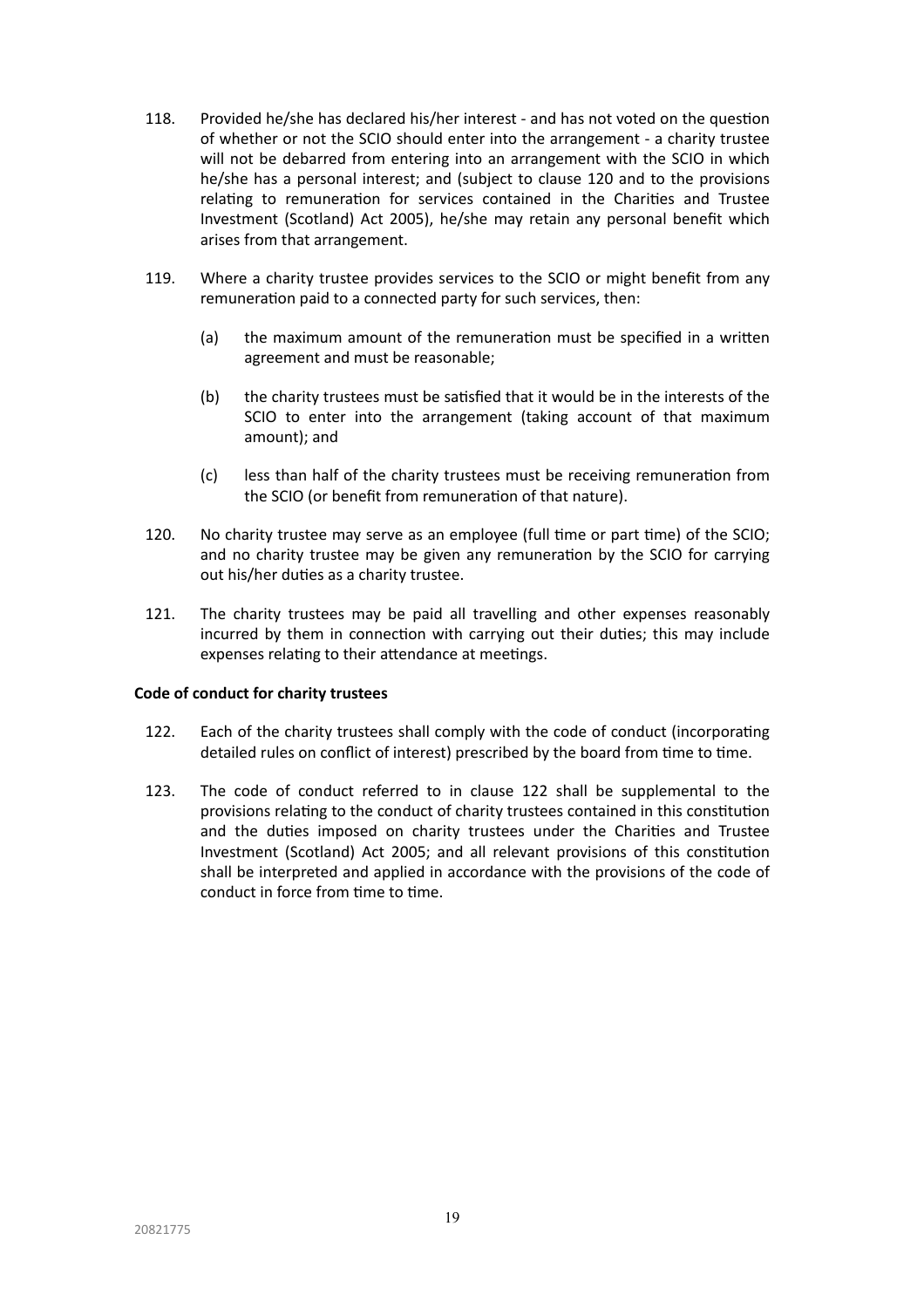- 118. Provided he/she has declared his/her interest and has not voted on the question of whether or not the SCIO should enter into the arrangement - a charity trustee will not be debarred from entering into an arrangement with the SCIO in which he/she has a personal interest; and (subject to clause 120 and to the provisions relating to remuneration for services contained in the Charities and Trustee Investment (Scotland) Act 2005), he/she may retain any personal benefit which arises from that arrangement.
- 119. Where a charity trustee provides services to the SCIO or might benefit from any remuneration paid to a connected party for such services, then:
	- (a) the maximum amount of the remuneration must be specified in a written agreement and must be reasonable;
	- (b) the charity trustees must be satisfied that it would be in the interests of the SCIO to enter into the arrangement (taking account of that maximum amount); and
	- (c) less than half of the charity trustees must be receiving remuneration from the SCIO (or benefit from remuneration of that nature).
- 120. No charity trustee may serve as an employee (full time or part time) of the SCIO; and no charity trustee may be given any remuneration by the SCIO for carrying out his/her duties as a charity trustee.
- 121. The charity trustees may be paid all travelling and other expenses reasonably incurred by them in connection with carrying out their duties; this may include expenses relating to their attendance at meetings.

# **Code of conduct for charity trustees**

- 122. Each of the charity trustees shall comply with the code of conduct (incorporating detailed rules on conflict of interest) prescribed by the board from time to time.
- 123. The code of conduct referred to in clause 122 shall be supplemental to the provisions relating to the conduct of charity trustees contained in this constitution and the duties imposed on charity trustees under the Charities and Trustee Investment (Scotland) Act 2005; and all relevant provisions of this constitution shall be interpreted and applied in accordance with the provisions of the code of conduct in force from time to time.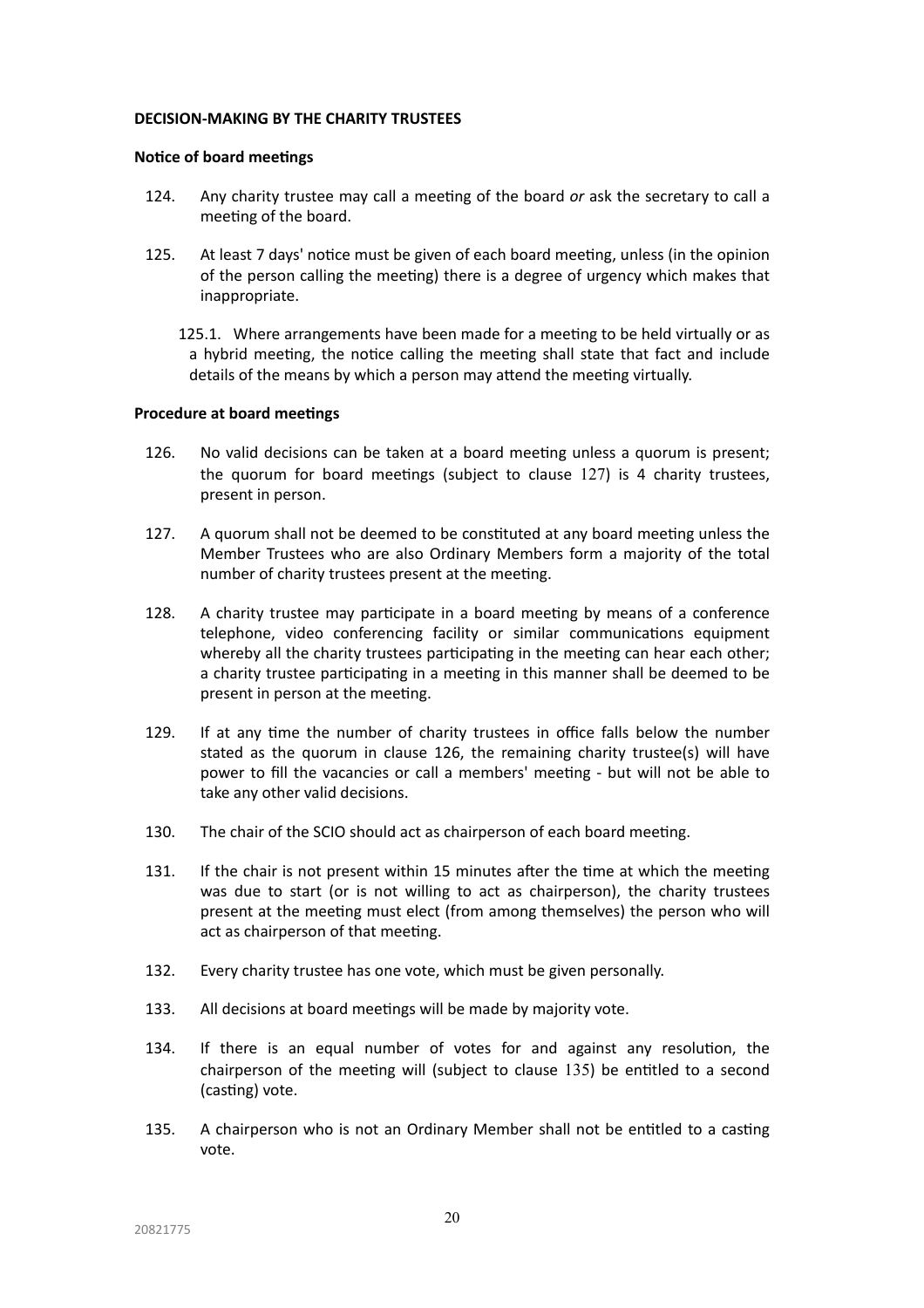# **DECISION-MAKING BY THE CHARITY TRUSTEES**

#### **Notice of board meetings**

- 124. Any charity trustee may call a meeting of the board *or* ask the secretary to call a meeting of the board.
- 125. At least 7 days' notice must be given of each board meeting, unless (in the opinion of the person calling the meeting) there is a degree of urgency which makes that inappropriate.
	- 125.1. Where arrangements have been made for a meeting to be held virtually or as a hybrid meeting, the notice calling the meeting shall state that fact and include details of the means by which a person may attend the meeting virtually.

# **Procedure at board meetings**

- 126. No valid decisions can be taken at a board meeting unless a quorum is present; the quorum for board meetings (subject to clause [127](#page-19-0)) is 4 charity trustees, present in person.
- <span id="page-19-0"></span>127. A quorum shall not be deemed to be constituted at any board meeting unless the Member Trustees who are also Ordinary Members form a majority of the total number of charity trustees present at the meeting.
- 128. A charity trustee may participate in a board meeting by means of a conference telephone, video conferencing facility or similar communications equipment whereby all the charity trustees participating in the meeting can hear each other; a charity trustee participating in a meeting in this manner shall be deemed to be present in person at the meeting.
- 129. If at any time the number of charity trustees in office falls below the number stated as the quorum in clause 126, the remaining charity trustee(s) will have power to fill the vacancies or call a members' meeting - but will not be able to take any other valid decisions.
- 130. The chair of the SCIO should act as chairperson of each board meeting.
- 131. If the chair is not present within 15 minutes after the time at which the meeting was due to start (or is not willing to act as chairperson), the charity trustees present at the meeting must elect (from among themselves) the person who will act as chairperson of that meeting.
- 132. Every charity trustee has one vote, which must be given personally.
- 133. All decisions at board meetings will be made by majority vote.
- 134. If there is an equal number of votes for and against any resolution, the chairperson of the meeting will (subject to clause [135](#page-19-1)) be entitled to a second (casting) vote.
- <span id="page-19-1"></span>135. A chairperson who is not an Ordinary Member shall not be entitled to a casting vote.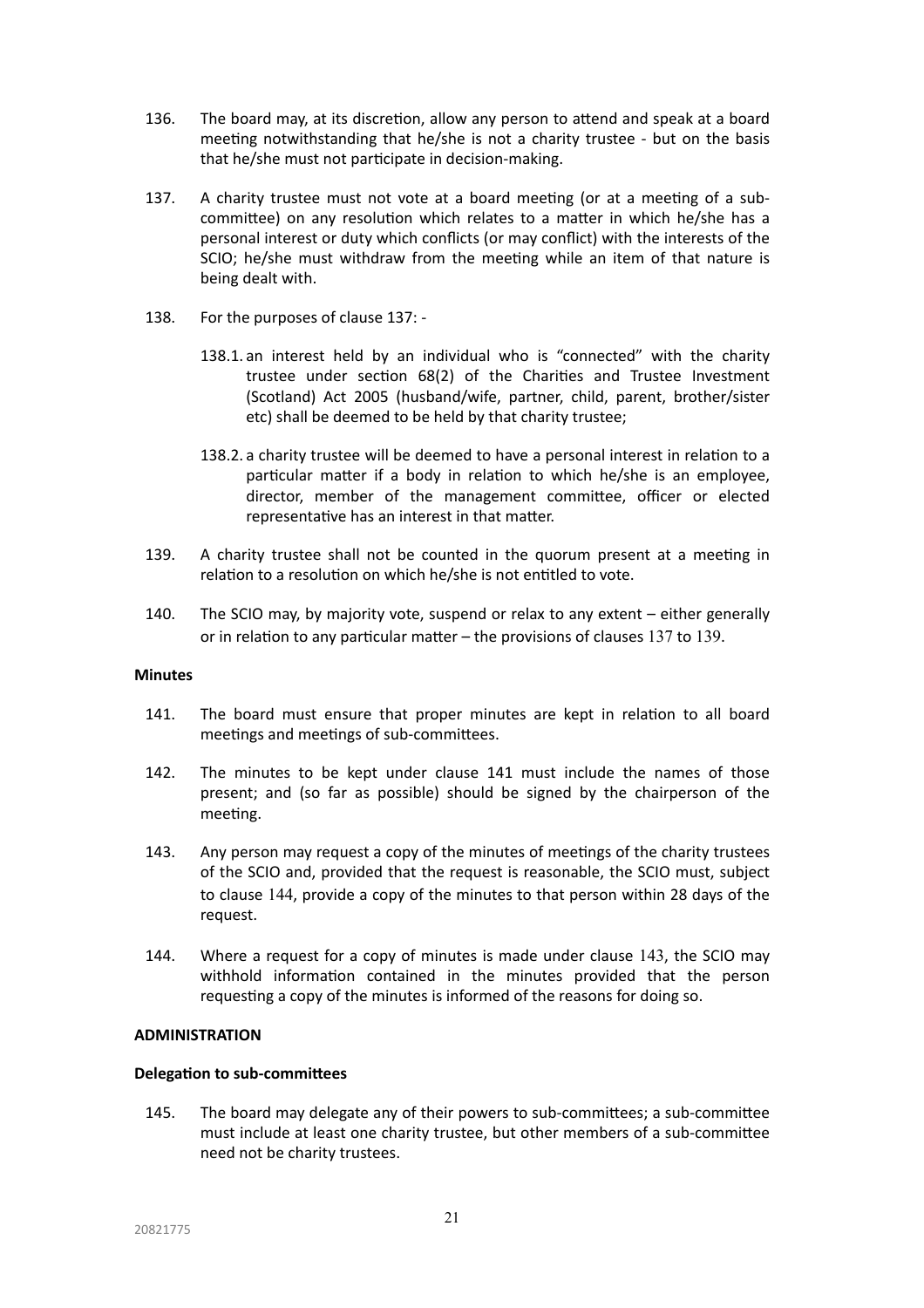- 136. The board may, at its discretion, allow any person to attend and speak at a board meeting notwithstanding that he/she is not a charity trustee - but on the basis that he/she must not participate in decision-making.
- <span id="page-20-1"></span>137. A charity trustee must not vote at a board meeting (or at a meeting of a subcommittee) on any resolution which relates to a matter in which he/she has a personal interest or duty which conflicts (or may conflict) with the interests of the SCIO; he/she must withdraw from the meeting while an item of that nature is being dealt with.
- 138. For the purposes of clause 137:
	- 138.1. an interest held by an individual who is "connected" with the charity trustee under section 68(2) of the Charities and Trustee Investment (Scotland) Act 2005 (husband/wife, partner, child, parent, brother/sister etc) shall be deemed to be held by that charity trustee;
	- 138.2. a charity trustee will be deemed to have a personal interest in relation to a particular matter if a body in relation to which he/she is an employee, director, member of the management committee, officer or elected representative has an interest in that matter.
- <span id="page-20-2"></span>139. A charity trustee shall not be counted in the quorum present at a meeting in relation to a resolution on which he/she is not entitled to vote.
- 140. The SCIO may, by majority vote, suspend or relax to any extent either generally or in relation to any particular matter – the provisions of clauses [137](#page-20-1) to [139](#page-20-2).

# **Minutes**

- 141. The board must ensure that proper minutes are kept in relation to all board meetings and meetings of sub-committees.
- 142. The minutes to be kept under clause 141 must include the names of those present; and (so far as possible) should be signed by the chairperson of the meeting.
- <span id="page-20-3"></span>143. Any person may request a copy of the minutes of meetings of the charity trustees of the SCIO and, provided that the request is reasonable, the SCIO must, subject to clause [144](#page-20-0), provide a copy of the minutes to that person within 28 days of the request.
- <span id="page-20-0"></span>144. Where a request for a copy of minutes is made under clause [143](#page-20-3), the SCIO may withhold information contained in the minutes provided that the person requesting a copy of the minutes is informed of the reasons for doing so.

# **ADMINISTRATION**

#### **Delegation to sub-committees**

145. The board may delegate any of their powers to sub-committees; a sub-committee must include at least one charity trustee, but other members of a sub-committee need not be charity trustees.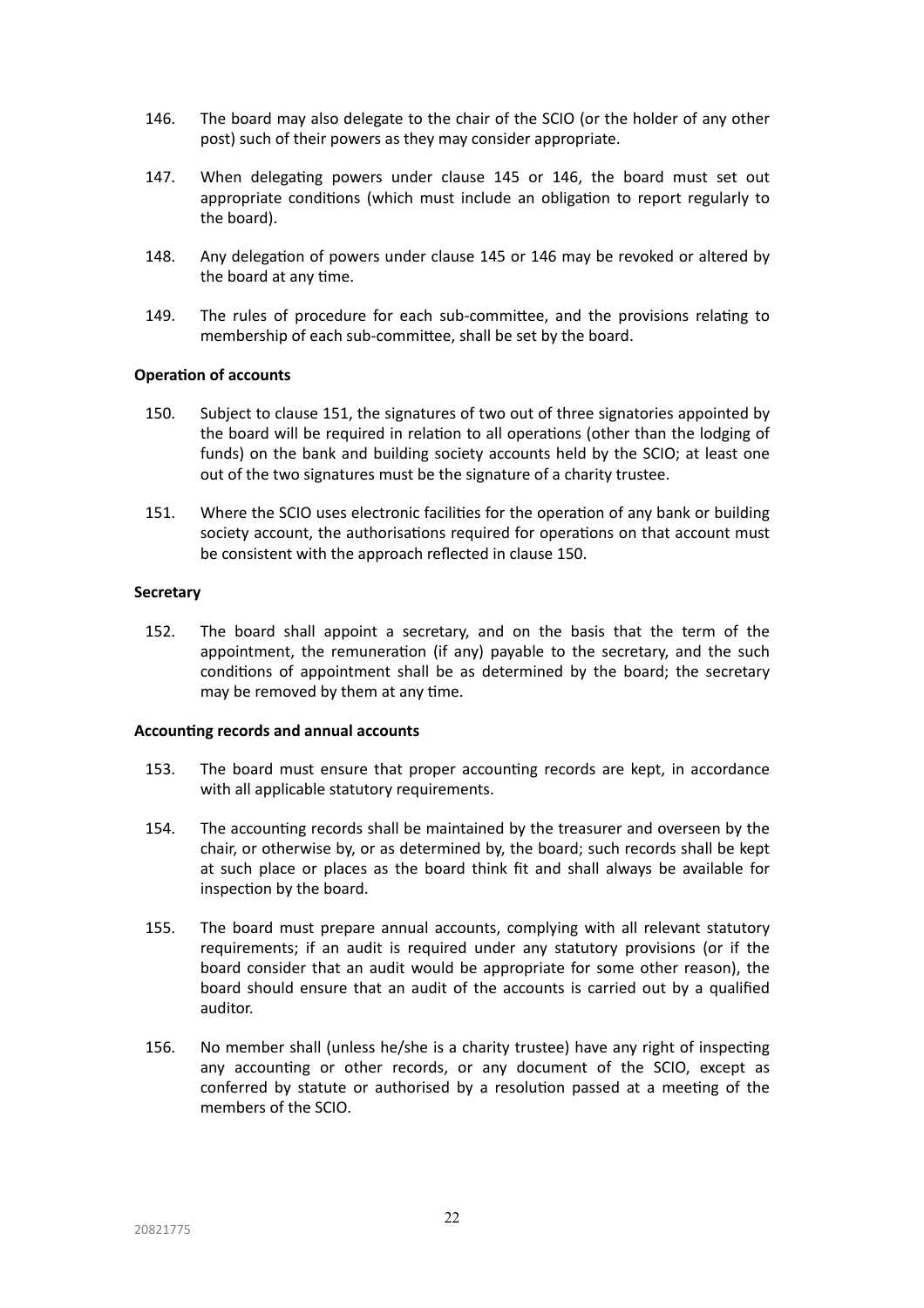- 146. The board may also delegate to the chair of the SCIO (or the holder of any other post) such of their powers as they may consider appropriate.
- 147. When delegating powers under clause 145 or 146, the board must set out appropriate conditions (which must include an obligation to report regularly to the board).
- 148. Any delegation of powers under clause 145 or 146 may be revoked or altered by the board at any time.
- 149. The rules of procedure for each sub-committee, and the provisions relating to membership of each sub-committee, shall be set by the board.

# **Operation of accounts**

- 150. Subject to clause 151, the signatures of two out of three signatories appointed by the board will be required in relation to all operations (other than the lodging of funds) on the bank and building society accounts held by the SCIO; at least one out of the two signatures must be the signature of a charity trustee.
- 151. Where the SCIO uses electronic facilities for the operation of any bank or building society account, the authorisations required for operations on that account must be consistent with the approach reflected in clause 150.

# **Secretary**

152. The board shall appoint a secretary, and on the basis that the term of the appointment, the remuneration (if any) payable to the secretary, and the such conditions of appointment shall be as determined by the board; the secretary may be removed by them at any time.

#### **Accounting records and annual accounts**

- 153. The board must ensure that proper accounting records are kept, in accordance with all applicable statutory requirements.
- 154. The accounting records shall be maintained by the treasurer and overseen by the chair, or otherwise by, or as determined by, the board; such records shall be kept at such place or places as the board think fit and shall always be available for inspection by the board.
- 155. The board must prepare annual accounts, complying with all relevant statutory requirements; if an audit is required under any statutory provisions (or if the board consider that an audit would be appropriate for some other reason), the board should ensure that an audit of the accounts is carried out by a qualified auditor.
- <span id="page-21-0"></span>156. No member shall (unless he/she is a charity trustee) have any right of inspecting any accounting or other records, or any document of the SCIO, except as conferred by statute or authorised by a resolution passed at a meeting of the members of the SCIO.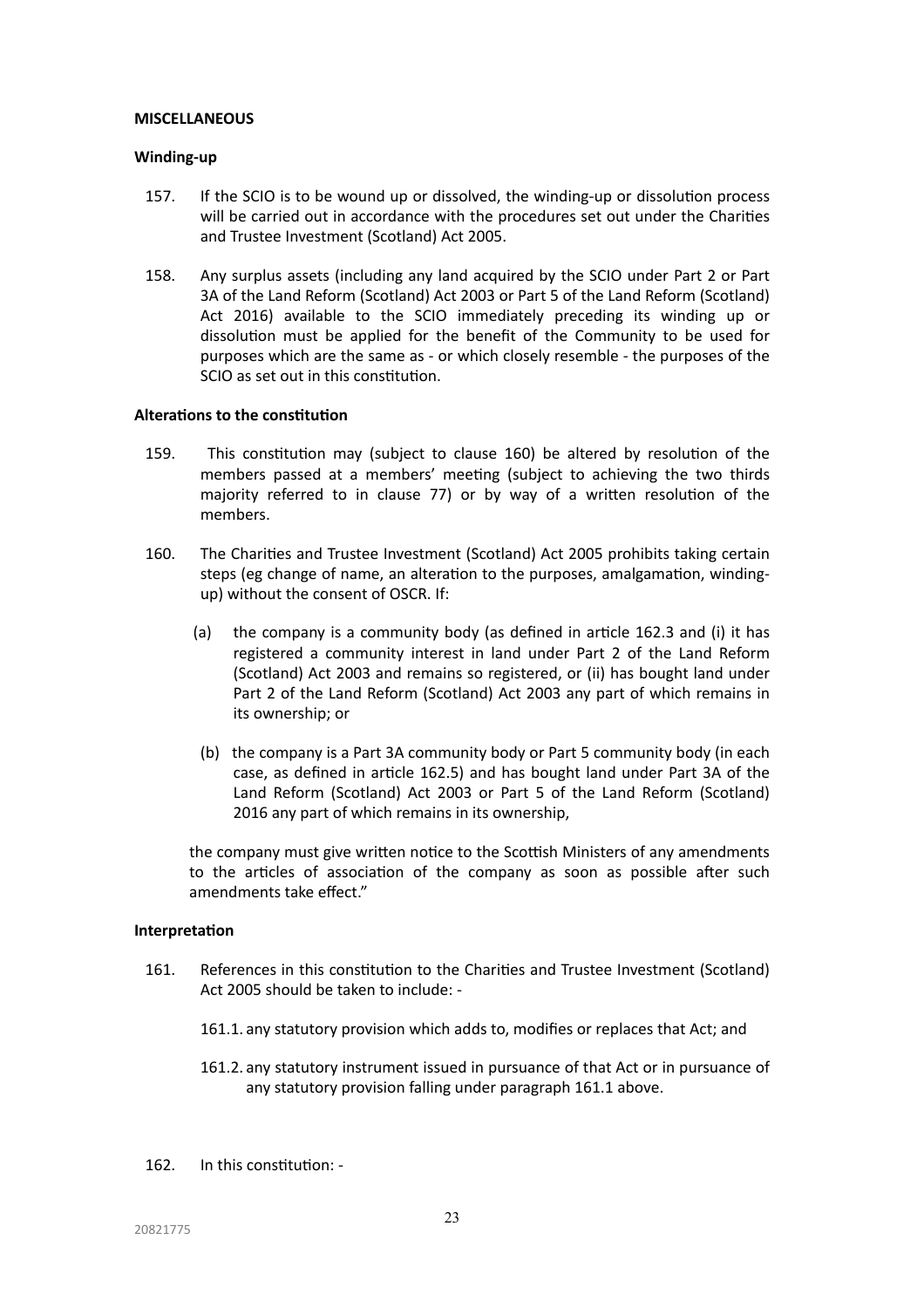# **MISCELLANEOUS**

# **Winding-up**

- 157. If the SCIO is to be wound up or dissolved, the winding-up or dissolution process will be carried out in accordance with the procedures set out under the Charities and Trustee Investment (Scotland) Act 2005.
- 158. Any surplus assets (including any land acquired by the SCIO under Part 2 or Part 3A of the Land Reform (Scotland) Act 2003 or Part 5 of the Land Reform (Scotland) Act 2016) available to the SCIO immediately preceding its winding up or dissolution must be applied for the benefit of the Community to be used for purposes which are the same as - or which closely resemble - the purposes of the SCIO as set out in this constitution.

# **Alterations to the constitution**

- 159. This constitution may (subject to clause 160) be altered by resolution of the members passed at a members' meeting (subject to achieving the two thirds majority referred to in clause 77) or by way of a written resolution of the members.
- 160. The Charities and Trustee Investment (Scotland) Act 2005 prohibits taking certain steps (eg change of name, an alteration to the purposes, amalgamation, windingup) without the consent of OSCR. If:
	- (a) the company is a community body (as defined in article 162.3 and (i) it has registered a community interest in land under Part 2 of the Land Reform (Scotland) Act 2003 and remains so registered, or (ii) has bought land under Part 2 of the Land Reform (Scotland) Act 2003 any part of which remains in its ownership; or
	- (b) the company is a Part 3A community body or Part 5 community body (in each case, as defined in article 162.5) and has bought land under Part 3A of the Land Reform (Scotland) Act 2003 or Part 5 of the Land Reform (Scotland) 2016 any part of which remains in its ownership,

the company must give written notice to the Scottish Ministers of any amendments to the articles of association of the company as soon as possible after such amendments take effect."

#### **Interpretation**

- 161. References in this constitution to the Charities and Trustee Investment (Scotland) Act 2005 should be taken to include: -
	- 161.1. any statutory provision which adds to, modifies or replaces that Act; and
	- 161.2. any statutory instrument issued in pursuance of that Act or in pursuance of any statutory provision falling under paragraph 161.1 above.
- 162. In this constitution: -